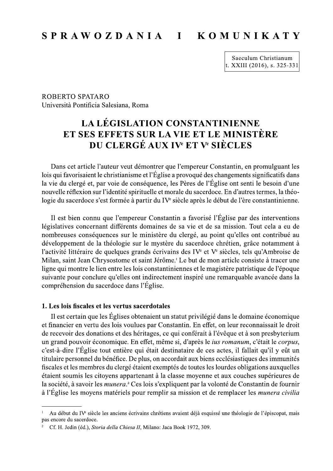#### SPRAWOZDANIA I **KOMUNIKATY**

Saeculum Christianum t. XXIII (2016), s. 325-331

**ROBERTO SPATARO** Università Pontificia Salesiana, Roma

# **LA LÉGISLATION CONSTANTINIENNE** ET SES EFFETS SUR LA VIE ET LE MINISTÈRE DU CLERGÉ AUX IV<sup>e</sup> ET V<sup>e</sup> SIÈCLES

Dans cet article l'auteur veut démontrer que l'empereur Constantin, en promulguant les lois qui favorisaient le christianisme et l'Église a provoqué des changements significatifs dans la vie du clergé et, par voie de conséquence, les Pères de l'Église ont senti le besoin d'une nouvelle réflexion sur l'identité spirituelle et morale du sacerdoce. En d'autres termes, la théologie du sacerdoce s'est formée à partir du IV<sup>e</sup> siècle après le début de l'ère constantinienne.

Il est bien connu que l'empereur Constantin a favorisé l'Église par des interventions législatives concernant différents domaines de sa vie et de sa mission. Tout cela a eu de nombreuses conséquences sur le ministère du clergé, au point qu'elles ont contribué au développement de la théologie sur le mystère du sacerdoce chrétien, grâce notamment à l'activité littéraire de quelques grands écrivains des IV<sup>e</sup> et V<sup>e</sup> siècles, tels qu'Ambroise de Milan, saint Jean Chrysostome et saint Jérôme.<sup>I</sup> Le but de mon article consiste à tracer une ligne qui montre le lien entre les lois constantiniennes et le magistère patristique de l'époque suivante pour conclure qu'elles ont indirectement inspiré une remarquable avancée dans la compréhension du sacerdoce dans l'Église.

## 1. Les lois fiscales et les vertus sacerdotales

Il est certain que les Églises obtenaient un statut privilégié dans le domaine économique et financier en vertu des lois voulues par Constantin. En effet, on leur reconnaissait le droit de recevoir des donations et des héritages, ce qui conférait à l'évêque et à son presbyterium un grand pouvoir économique. En effet, même si, d'après le *ius romanum*, c'était le *corpus*, c'est-à-dire l'Église tout entière qui était destinataire de ces actes, il fallait qu'il y eût un titulaire personnel du bénéfice. De plus, on accordait aux biens ecclésiastiques des immunités fiscales et les membres du clergé étaient exemptés de toutes les lourdes obligations auxquelles étaient soumis les citoyens appartenant à la classe moyenne et aux couches supérieures de la société, à savoir les munera.<sup>2</sup> Ces lois s'expliquent par la volonté de Constantin de fournir à l'Église les moyens matériels pour remplir sa mission et de remplacer les *munera civilia* 

Au début du IV<sup>e</sup> siècle les anciens écrivains chrétiens avaient déjà esquissé une théologie de l'épiscopat, mais pas encore du sacerdoce.

Cf. H. Jedin (éd.), Storia della Chiesa II, Milano: Jaca Book 1972, 309.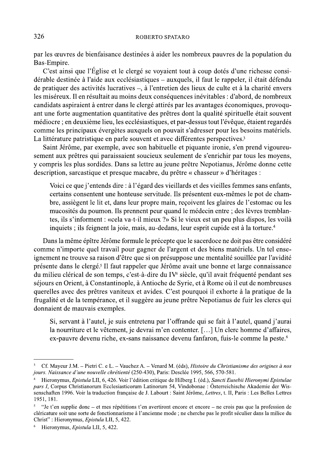#### ROBERTO SPATARO

par les œuvres de bienfaisance destinées à aider les nombreux pauvres de la population du Bas-Empire.

C'est ainsi que l'Église et le clergé se voyaient tout à coup dotés d'une richesse considérable destinée à l'aide aux ecclésiastiques - auxquels, il faut le rappeler, il était défendu de pratiquer des activités lucratives –, à l'entretien des lieux de culte et à la charité envers les miséreux. Il en résultait au moins deux conséquences inévitables : d'abord, de nombreux candidats aspiraient à entrer dans le clergé attirés par les avantages économiques, provoquant une forte augmentation quantitative des prêtres dont la qualité spirituelle était souvent médiocre ; en deuxième lieu, les ecclésiastiques, et par-dessus tout l'évêque, étaient regardés comme les principaux évergètes auxquels on pouvait s'adresser pour les besoins matériels. La littérature patristique en parle souvent et avec différentes perspectives.<sup>3</sup>

Saint Jérôme, par exemple, avec son habituelle et piquante ironie, s'en prend vigoureusement aux prêtres qui paraissaient soucieux seulement de s'enrichir par tous les moyens, y compris les plus sordides. Dans sa lettre au jeune prêtre Nepotianus, Jérôme donne cette description, sarcastique et presque macabre, du prêtre « chasseur » d'héritages :

Voici ce que j'entends dire : à l'égard des vieillards et des vieilles femmes sans enfants, certains consentent une honteuse servitude. Ils présentent eux-mêmes le pot de chambre, assiègent le lit et, dans leur propre main, recoivent les glaires de l'estomac ou les mucosités du poumon. Ils prennent peur quand le médecin entre ; des lèvres tremblantes, ils s'informent : «cela va-t-il mieux ?» Si le vieux est un peu plus dispos, les voilà inquiets; ils feignent la joie, mais, au-dedans, leur esprit cupide est à la torture.<sup>4</sup>

Dans la même épître Jérôme formule le précepte que le sacerdoce ne doit pas être considéré comme n'importe quel travail pour gagner de l'argent et des biens matériels. Un tel enseignement ne trouve sa raison d'être que si on présuppose une mentalité souillée par l'avidité présente dans le clergé.<sup>5</sup> Il faut rappeler que Jérôme avait une bonne et large connaissance du milieu clérical de son temps, c'est-à-dire du IV<sup>e</sup> siècle, qu'il avait fréquenté pendant ses séjours en Orient, à Constantinople, à Antioche de Syrie, et à Rome où il eut de nombreuses querelles avec des prêtres vaniteux et avides. C'est pourquoi il exhorte à la pratique de la frugalité et de la tempérance, et il suggère au jeune prêtre Nepotianus de fuir les clercs qui donnaient de mauvais exemples.

Si, servant à l'autel, je suis entretenu par l'offrande qui se fait à l'autel, quand j'aurai la nourriture et le vêtement, je devrai m'en contenter. [...] Un clerc homme d'affaires, ex-pauvre devenu riche, ex-sans naissance devenu fanfaron, fuis-le comme la peste.<sup>6</sup>

Cf. Mayeur J.M. – Pietri C. e L. – Vauchez A. – Venard M. (éds), *Histoire du Christianisme des origines à nos* jours. Naissance d'une nouvelle chrétienté (250-430), Paris: Desclée 1995, 566, 570-581.

Hieronymus, Epistula LII, 6, 426. Voir l'édition critique de Hilberg I. (éd.), Sancti Eusebii Hieronymi Epistulae pars I, Corpus Christianorum Ecclesiasticorum Latinorum 54, Vindobonae : Österreichische Akademie der Wissenschaften 1996. Voir la traduction française de J. Labourt : Saint Jérôme, Lettres, t. II, Paris : Les Belles Lettres 1951, 181.

 $\overline{5}$ "Je t'en supplie donc – et mes répétitions t'en avertiront encore et encore – ne crois pas que la profession de cléricature soit une sorte de fonctionnarisme à l'ancienne mode ; ne cherche pas le profit séculier dans la milice du Christ": Hieronymus, Epistula LII, 5, 422.

Hieronymus, Epistula LII, 5, 422.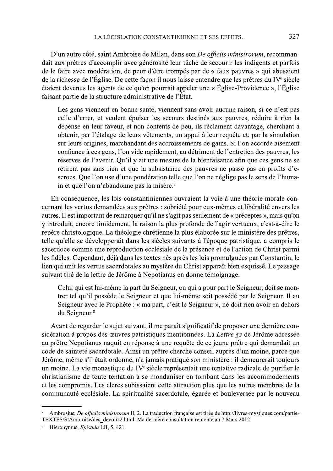D'un autre côté, saint Ambroise de Milan, dans son De officiis ministrorum, recommandait aux prêtres d'accomplir avec générosité leur tâche de secourir les indigents et parfois de le faire avec modération, de peur d'être trompés par de « faux pauvres » qui abusaient de la richesse de l'Église. De cette façon il nous laisse entendre que les prêtres du IV<sup>e</sup> siècle étaient devenus les agents de ce qu'on pourrait appeler une « Église-Providence », l'Église faisant partie de la structure administrative de l'État.

Les gens viennent en bonne santé, viennent sans avoir aucune raison, si ce n'est pas celle d'errer, et veulent épuiser les secours destinés aux pauvres, réduire à rien la dépense en leur faveur, et non contents de peu, ils réclament davantage, cherchant à obtenir, par l'étalage de leurs vêtements, un appui à leur requête et, par la simulation sur leurs origines, marchandant des accroissements de gains. Si l'on accorde aisément confiance à ces gens, l'on vide rapidement, au détriment de l'entretien des pauvres, les réserves de l'avenir. Qu'il y ait une mesure de la bienfaisance afin que ces gens ne se retirent pas sans rien et que la subsistance des pauvres ne passe pas en profits d'escrocs. Que l'on use d'une pondération telle que l'on ne néglige pas le sens de l'humain et que l'on n'abandonne pas la misère.<sup>7</sup>

En conséquence, les lois constantiniennes ouvraient la voie à une théorie morale concernant les vertus demandées aux prêtres : sobriété pour eux-mêmes et libéralité envers les autres. Il est important de remarquer qu'il ne s'agit pas seulement de « préceptes », mais qu'on y introduit, encore timidement, la raison la plus profonde de l'agir vertueux, c'est-à-dire le repère christologique. La théologie chrétienne la plus élaborée sur le ministère des prêtres, telle qu'elle se développerait dans les siècles suivants à l'époque patristique, a compris le sacerdoce comme une reproduction ecclésiale de la présence et de l'action de Christ parmi les fidèles. Cependant, déjà dans les textes nés après les lois promulguées par Constantin, le lien qui unit les vertus sacerdotales au mystère du Christ apparaît bien esquissé. Le passage suivant tiré de la lettre de Jérôme à Nepotianus en donne témoignage.

Celui qui est lui-même la part du Seigneur, ou qui a pour part le Seigneur, doit se montrer tel qu'il possède le Seigneur et que lui-même soit possédé par le Seigneur. Il au Seigneur avec le Prophète : « ma part, c'est le Seigneur », ne doit rien avoir en dehors du Seigneur.<sup>8</sup>

Avant de regarder le sujet suivant, il me paraît significatif de proposer une dernière considération à propos des œuvres patristiques mentionnées. La Lettre 52 de Jérôme adressée au prêtre Nepotianus naquit en réponse à une requête de ce jeune prêtre qui demandait un code de sainteté sacerdotale. Ainsi un prêtre cherche conseil auprès d'un moine, parce que Jérôme, même s'il était ordonné, n'a jamais pratiqué son ministère : il demeurerait toujours un moine. La vie monastique du IV<sup>e</sup> siècle représentait une tentative radicale de purifier le christianisme de toute tentation à se mondaniser en tombant dans les accommodements et les compromis. Les clercs subissaient cette attraction plus que les autres membres de la communauté ecclésiale. La spiritualité sacerdotale, égarée et bouleversée par le nouveau

Ambrosius, De officiis ministrorum II, 2. La traduction française est tirée de http://livres-mystiques.com/partie-TEXTES/StAmbroise/des devoirs2.html. Ma dernière consultation remonte au 7 Mars 2012.

Hieronymus, Epistula LII, 5, 421.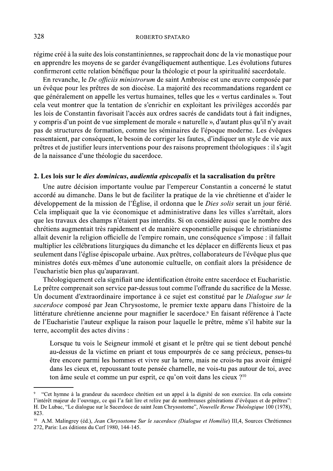régime créé à la suite des lois constantiniennes, se rapprochait donc de la vie monastique pour en apprendre les moyens de se garder évangéliquement authentique. Les évolutions futures confirmeront cette relation bénéfique pour la théologie et pour la spiritualité sacerdotale.

En revanche, le De officiis ministrorum de saint Ambroise est une œuvre composée par un évêque pour les prêtres de son diocèse. La majorité des recommandations regardent ce que généralement on appelle les vertus humaines, telles que les « vertus cardinales ». Tout cela veut montrer que la tentation de s'enrichir en exploitant les privilèges accordés par les lois de Constantin favorisait l'accès aux ordres sacrés de candidats tout à fait indignes, y compris d'un point de vue simplement de morale « naturelle », d'autant plus qu'il n'y avait pas de structures de formation, comme les séminaires de l'époque moderne. Les évêques ressentaient, par conséquent, le besoin de corriger les fautes, d'indiquer un style de vie aux prêtres et de justifier leurs interventions pour des raisons proprement théologiques : il s'agit de la naissance d'une théologie du sacerdoce.

## 2. Les lois sur le *dies dominicus, audientia episcopalis* et la sacralisation du prêtre

Une autre décision importante voulue par l'empereur Constantin a concerné le statut accordé au dimanche. Dans le but de faciliter la pratique de la vie chrétienne et d'aider le développement de la mission de l'Église, il ordonna que le *Dies solis* serait un jour férié. Cela impliquait que la vie économique et administrative dans les villes s'arrêtait, alors que les travaux des champs n'étaient pas interdits. Si on considère aussi que le nombre des chrétiens augmentait très rapidement et de manière exponentielle puisque le christianisme allait devenir la religion officielle de l'empire romain, une conséquence s'impose : il fallait multiplier les célébrations liturgiques du dimanche et les déplacer en différents lieux et pas seulement dans l'église épiscopale urbaine. Aux prêtres, collaborateurs de l'évêque plus que ministres dotés eux-mêmes d'une autonomie cultuelle, on confiait alors la présidence de l'eucharistie bien plus qu'auparavant.

Théologiquement cela signifiait une identification étroite entre sacerdoce et Eucharistie. Le prêtre comprenait son service par-dessus tout comme l'offrande du sacrifice de la Messe. Un document d'extraordinaire importance à ce sujet est constitué par le *Dialogue sur le* sacerdoce composé par Jean Chrysostome, le premier texte apparu dans l'histoire de la littérature chrétienne ancienne pour magnifier le sacerdoce.<sup>9</sup> En faisant référence à l'acte de l'Eucharistie l'auteur explique la raison pour laquelle le prêtre, même s'il habite sur la terre, accomplit des actes divins :

Lorsque tu vois le Seigneur immolé et gisant et le prêtre qui se tient debout penché au-dessus de la victime en priant et tous empourprés de ce sang précieux, penses-tu être encore parmi les hommes et vivre sur la terre, mais ne crois-tu pas avoir émigré dans les cieux et, repoussant toute pensée charnelle, ne vois-tu pas autour de toi, avec ton âme seule et comme un pur esprit, ce qu'on voit dans les cieux ?<sup>10</sup>

<sup>&</sup>quot;Cet hymne à la grandeur du sacerdoce chrétien est un appel à la dignité de son exercice. En cela consiste l'intérêt majeur de l'ouvrage, ce qui l'a fait lire et relire par de nombreuses générations d'évêques et de prêtres": H. De Lubac, "Le dialogue sur le Sacerdoce de saint Jean Chrysostome", Nouvelle Revue Théologique 100 (1978), 823.

 $^{10}$  A.M. Malingrey (éd.), Jean Chrysostome Sur le sacerdoce (Dialogue et Homélie) III.4, Sources Chrétiennes 272, Paris: Les éditions du Cerf 1980, 144-145.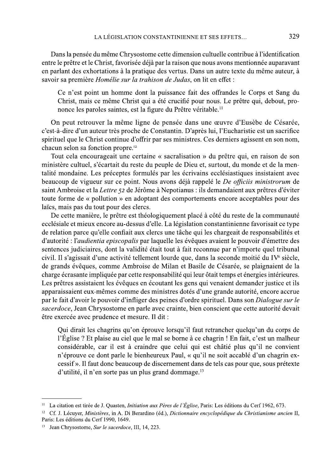Dans la pensée du même Chrysostome cette dimension cultuelle contribue à l'identification entre le prêtre et le Christ, favorisée déjà par la raison que nous avons mentionnée auparavant en parlant des exhortations à la pratique des vertus. Dans un autre texte du même auteur, à savoir sa première Homélie sur la trahison de Judas, on lit en effet :

Ce n'est point un homme dont la puissance fait des offrandes le Corps et Sang du Christ, mais ce même Christ qui a été crucifié pour nous. Le prêtre qui, debout, prononce les paroles saintes, est la figure du Prêtre véritable.<sup>11</sup>

On peut retrouver la même ligne de pensée dans une œuvre d'Eusèbe de Césarée, c'est-à-dire d'un auteur très proche de Constantin. D'après lui, l'Eucharistie est un sacrifice spirituel que le Christ continue d'offrir par ses ministres. Ces derniers agissent en son nom, chacun selon sa fonction propre.<sup>12</sup>

Tout cela encourageait une certaine « sacralisation » du prêtre qui, en raison de son ministère cultuel, s'écartait du reste du peuple de Dieu et, surtout, du monde et de la mentalité mondaine. Les préceptes formulés par les écrivains ecclésiastiques insistaient avec beaucoup de vigueur sur ce point. Nous avons déjà rappelé le De officiis ministrorum de saint Ambroise et la Lettre 52 de Jérôme à Nepotianus : ils demandaient aux prêtres d'éviter toute forme de « pollution » en adoptant des comportements encore acceptables pour des laïcs, mais pas du tout pour des clercs.

De cette manière, le prêtre est théologiquement placé à côté du reste de la communauté ecclésiale et mieux encore au-dessus d'elle. La législation constantinienne favorisait ce type de relation parce qu'elle confiait aux clercs une tâche qui les chargeait de responsabilités et d'autorité : l'audientia episcopalis par laquelle les évêques avaient le pouvoir d'émettre des sentences judiciaires, dont la validité était tout à fait reconnue par n'importe quel tribunal civil. Il s'agissait d'une activité tellement lourde que, dans la seconde moitié du IV<sup>e</sup> siècle, de grands évêques, comme Ambroise de Milan et Basile de Césarée, se plaignaient de la charge écrasante impliquée par cette responsabilité qui leur ôtait temps et énergies intérieures. Les prêtres assistaient les évêques en écoutant les gens qui venaient demander justice et ils apparaissaient eux-mêmes comme des ministres dotés d'une grande autorité, encore accrue par le fait d'avoir le pouvoir d'infliger des peines d'ordre spirituel. Dans son Dialogue sur le sacerdoce, Jean Chrysostome en parle avec crainte, bien conscient que cette autorité devait être exercée avec prudence et mesure. Il dit :

Qui dirait les chagrins qu'on éprouve lorsqu'il faut retrancher quelqu'un du corps de l'Église ? Et plaise au ciel que le mal se borne à ce chagrin ! En fait, c'est un malheur considérable, car il est à craindre que celui qui est châtié plus qu'il ne convient n'éprouve ce dont parle le bienheureux Paul, « qu'il ne soit accablé d'un chagrin excessif». Il faut donc beaucoup de discernement dans de tels cas pour que, sous prétexte d'utilité, il n'en sorte pas un plus grand dommage.<sup>13</sup>

<sup>&</sup>lt;sup>11</sup> La citation est tirée de J. Quasten, *Initiation aux Pères de l'Église*, Paris: Les éditions du Cerf 1962, 673.

<sup>&</sup>lt;sup>12</sup> Cf. J. Lécuyer, Ministères, in A. Di Berardino (éd.), Dictionnaire encyclopédique du Christianisme ancien II, Paris: Les éditions du Cerf 1990, 1649.

Jean Chrysostome, Sur le sacerdoce, III, 14, 223.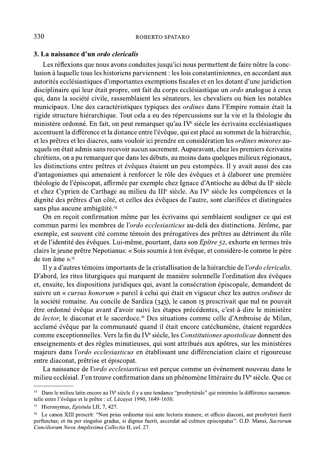#### 3. La naissance d'un ordo clericalis

Les réflexions que nous avons conduites jusqu'ici nous permettent de faire nôtre la conclusion à laquelle tous les historiens parviennent : les lois constantiniennes, en accordant aux autorités ecclésiastiques d'importantes exemptions fiscales et en les dotant d'une juridiction disciplinaire qui leur était propre, ont fait du corps ecclésiastique un *ordo* analogue à ceux qui, dans la société civile, rassemblaient les sénateurs, les chevaliers ou bien les notables municipaux. Une des caractéristiques typiques des *ordines* dans l'Empire romain était la rigide structure hiérarchique. Tout cela a eu des répercussions sur la vie et la théologie du ministère ordonné. En fait, on peut remarquer qu'au IV<sup>e</sup> siècle les écrivains ecclésiastiques accentuent la différence et la distance entre l'évêque, qui est placé au sommet de la hiérarchie, et les prêtres et les diacres, sans vouloir ici prendre en considération les *ordines minores* auxquels on était admis sans recevoir aucun sacrement. Auparavant, chez les premiers écrivains chrétiens, on a pu remarquer que dans les débuts, au moins dans quelques milieux régionaux, les distinctions entre prêtres et évêques étaient un peu estompées. Il y avait aussi des cas d'antagonismes qui amenaient à renforcer le rôle des évêques et à élaborer une première théologie de l'épiscopat, affirmée par exemple chez Ignace d'Antioche au début du II<sup>e</sup> siècle et chez Cyprien de Carthage au milieu du III<sup>e</sup> siècle. Au IV<sup>e</sup> siècle les compétences et la dignité des prêtres d'un côté, et celles des évêques de l'autre, sont clarifiées et distinguées sans plus aucune ambigüité.<sup>14</sup>

On en reçoit confirmation même par les écrivains qui semblaient souligner ce qui est commun parmi les membres de l'ordo ecclesiasticus au-delà des distinctions. Jérôme, par exemple, est souvent cité comme témoin des prérogatives des prêtres au détriment du rôle et de l'identité des évêques. Lui-même, pourtant, dans son Epître 52, exhorte en termes très clairs le jeune prêtre Nepotianus: « Sois soumis à ton évêque, et considère-le comme le père de ton âme ».<sup>15</sup>

Il y a d'autres témoins importants de la cristallisation de la hiérarchie de l'ordo clericalis. D'abord, les rites liturgiques qui marquent de manière solennelle l'ordination des évêques et, ensuite, les dispositions juridiques qui, avant la consécration épiscopale, demandent de suivre un « *cursus honorum* » pareil à celui qui était en vigueur chez les autres *ordines* de la société romaine. Au concile de Sardica (343), le canon 15 prescrivait que nul ne pouvait être ordonné évêque avant d'avoir suivi les étapes précédentes, c'est-à-dire le ministère de lector, le diaconat et le sacerdoce.<sup>16</sup> Des situations comme celle d'Ambroise de Milan, acclamé évêque par la communauté quand il était encore catéchumène, étaient regardées comme exceptionnelles. Vers la fin du IV<sup>e</sup> siècle, les Constitutiones apostolicae donnent des enseignements et des règles minutieuses, qui sont attribués aux apôtres, sur les ministères majeurs dans l'ordo ecclesiasticus en établissant une différenciation claire et rigoureuse entre diaconat, prêtrise et épiscopat.

La naissance de l'ordo ecclesiasticus est perçue comme un événement nouveau dans le milieu ecclésial. J'en trouve confirmation dans un phénomène littéraire du IV<sup>e</sup> siècle. Oue ce

 $14$ Dans le milieu latin encore au IV<sup>e</sup> siècle il y a une tendance "presbytérale" qui minimise la différence sacramentelle entre l'évêque et le prêtre : cf. Lécuyer 1990, 1649-1650.

 $15\,$ Hieronymus, Epistula LII, 7, 427.

Le canon XIII prescrit: "Non prius ordinetur nisi ante lectoris munere, et officio diaconi, aut presbyteri fuerit  $16<sup>16</sup>$ perfunctus; et ita per singulos gradus, si dignus fuerit, ascendat ad culmen episcopatus": G.D. Mansi, Sacrorum Conciliorum Nova Amplissima Collectio II, col. 27.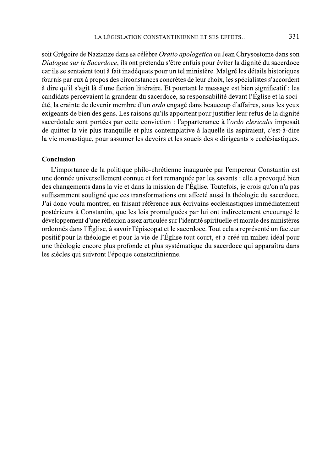soit Grégoire de Nazianze dans sa célèbre Oratio apologetica ou Jean Chrysostome dans son Dialogue sur le Sacerdoce, ils ont prétendu s'être enfuis pour éviter la dignité du sacerdoce car ils se sentaient tout à fait inadéquats pour un tel ministère. Malgré les détails historiques fournis par eux à propos des circonstances concrètes de leur choix, les spécialistes s'accordent à dire qu'il s'agit là d'une fiction littéraire. Et pourtant le message est bien significatif : les candidats percevaient la grandeur du sacerdoce, sa responsabilité devant l'Église et la société, la crainte de devenir membre d'un *ordo* engagé dans beaucoup d'affaires, sous les yeux exigeants de bien des gens. Les raisons qu'ils apportent pour justifier leur refus de la dignité sacerdotale sont portées par cette conviction : l'appartenance à l'ordo clericalis imposait de quitter la vie plus tranquille et plus contemplative à laquelle ils aspiraient, c'est-à-dire la vie monastique, pour assumer les devoirs et les soucis des « dirigeants » ecclésiastiques.

## Conclusion

L'importance de la politique philo-chrétienne inaugurée par l'empereur Constantin est une donnée universellement connue et fort remarquée par les savants : elle a provoqué bien des changements dans la vie et dans la mission de l'Église. Toutefois, je crois qu'on n'a pas suffisamment souligné que ces transformations ont affecté aussi la théologie du sacerdoce. J'ai donc voulu montrer, en faisant référence aux écrivains ecclésiastiques immédiatement postérieurs à Constantin, que les lois promulguées par lui ont indirectement encouragé le développement d'une réflexion assez articulée sur l'identité spirituelle et morale des ministères ordonnés dans l'Église, à savoir l'épiscopat et le sacerdoce. Tout cela a représenté un facteur positif pour la théologie et pour la vie de l'Église tout court, et a créé un milieu idéal pour une théologie encore plus profonde et plus systématique du sacerdoce qui apparaîtra dans les siècles qui suivront l'époque constantinienne.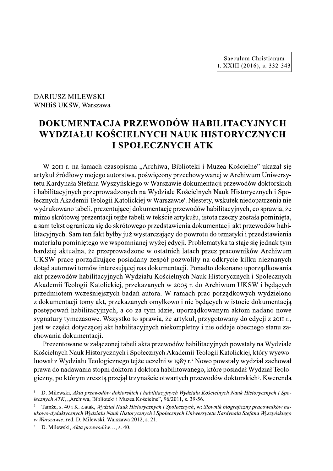Saeculum Christianum t. XXIII (2016), s. 332-343

WNHiS UKSW, Warszawa

# DARIUSZ MILEWSKI<br>
WNHiS UKSW, Warszawa<br> **DOKUMENTACJ.<br>
WYDZIAŁU KOŚ**<br>
I<br>
W 2011 r. na łamach czas<br>
artykuł źródłowy mojego aut **DOKUMENTACJA PRZEWODÓW HABILITACYJNYCH** WYDZIAŁU KOŚCIELNYCH NAUK HISTORYCZNYCH **I SPOŁECZNYCH ATK**

W 2011 r. na łamach czasopisma "Archiwa, Biblioteki i Muzea Koscielne" ukazał się artykuł zrodłowy mojego autorstwa, poswięcony przechowywanej w Archiwum Uniwersytetu Kardynała Stefana Wyszynskiego w Warszawie dokumentacji przewodow doktorskich i habilitacyjnych przeprowadzonych na Wydziale Koscielnych Nauk Historycznych i Spo-H NAUK HISTORYCZNYCH<br>
ENYCH ATK<br>
Wa, Biblioteki i Muzea Kościelne" ukazał się<br>
cony przechowywanej w Archiwum Uniwersy-<br>
rszawie dokumentacji przewodów doktorskich<br>
Iziale Kościelnych Nauk Historycznych i Spo-<br>
arszawie'. łecznych Akademii Teologii Katolickiej w Warszawie'. Niestety, wskutek niedopatrzenia nie wydrukowano tabeli, prezentującej dokumentację przewodow habilitacyjnych, co sprawia, ze mimo skrotowej prezentacji tejze tabeli w tekscie artykułu, istota rzeczy została pominięta, a sam tekst ogranicza się do skrotowego przedstawienia dokumentacji akt przewodow habilitacyjnych. Sam ten fakt byłby juz wystarczający do powrotu do tematyki i przedstawienia materiału pominiętego we wspomnianej wyzej edycji. Problematyka ta staje się jednak tym bardziej aktualna, że przeprowadzone w ostatnich latach przez pracownikow Archiwum UKSW prace porządkujące posiadany zespół pozwoliły na odkrycie kilku nieznanych dotąd autorowi tomow interesującej nas dokumentacji. Ponadto dokonano uporządkowania akt przewodow habilitacyjnych Wydziału Koscielnych Nauk Historycznych i Społecznych BRUMENTRICHT (So Spraw)<br>
Eli w tekście artykułu, istota rzeczy została pomin<br>
eli w tekście artykułu, istota rzeczy została pomin<br>
ggo przedstawienia dokumentacji akt przewodów ł<br>
ystarczający do powrotu do tematyki i prze Akademii Teologii Katolickiej, przekazanych w 2005 r. do Archiwum UKSW i będących przedmiotem wczesniejszych badan autora. W ramach prac porządkowych wydzielono z dokumentacji tomy akt, przekazanych omyłkowo i nie będących w istocie dokumentacją postępowan habilitacyjnych, a co za tym idzie, uporządkowanym aktom nadano nowe sygnatury tymczasowe. Wszystko to sprawia, ze artykuł, przygotowany do edycji z 2011 r., jest w części dotyczącej akt habilitacyjnych niekompletny i nie oddaje obecnego stanu zachowania dokumentacji. Akademii Teologii Katolickiej, przekazan<br>przedmiotem wcześniejszych badań auto<br>z dokumentacji tomy akt, przekazanych or<br>postępowań habilitacyjnych, a co za tyn<br>sygnatury tymczasowe. Wszystko to sprav<br>jest w części dotycząc

Prezentowane w załączonej tabeli akta przewodow habilitacyjnych powstały na Wydziale Koscielnych Nauk Historycznych i Społecznych Akademii Teologii Katolickiej, który wyewoluował z Wydziału Teologicznego tejże uczelni w 1987 r.<sup>2</sup> Nowo powstały wydział zachował prawa do nadawania stopni doktora i doktora habilitowanego, ktore posiadał Wydział Teologiczny, po którym zresztą przejął trzynaście otwartych przewodów doktorskich<sup>3</sup>. Kwerenda

 $\perp$  D. Milewski, Akta przewodów doktorskich i habilitacyjnych Wydziału Kościelnych Nauk Historycznych i Spo*tecznych ATK*, "Archiwa, Biblioteki i Muzea Koscielne", 96/2011, s. 39-56.

<sup>&</sup>lt;sup>2</sup> Tamże, s. 40 i K. Łatak, *Wydział Nauk Historycznych i Społecznych*, w: *Słownik biograficzny pracowników na*ukowo-dydaktycznych Wydziału Nauk Historycznych i Społecznych Uniwersytetu Kardynała Stefana Wyszyńskiego w *Warszawie*, red. D. Milewski, Warszawa 2012, s. 21.

<sup>&</sup>lt;sup>3</sup> D. Milewski, Akta przewodów..., s. 40.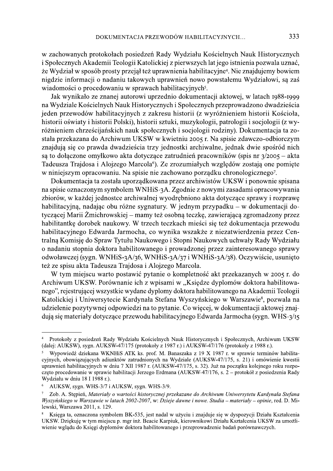w zachowanych protokołach posiedzeń Rady Wydziału Kościelnych Nauk Historycznych i Społecznych Akademii Teologii Katolickiej z pierwszych lat jego istnienia pozwala uznać, że Wydział w sposób prosty przejął też uprawnienia habilitacyjne<sup>4</sup>. Nie znajdujemy bowiem nigdzie informacji o nadaniu takowych uprawnień nowo powstałemu Wydziałowi, są zaś wiadomości o procedowaniu w sprawach habilitacyjnych<sup>5</sup>.

Jak wynikało ze znanej autorowi uprzednio dokumentacji aktowej, w latach 1988-1999 na Wydziale Kościelnych Nauk Historycznych i Społecznych przeprowadzono dwadzieścia jeden przewodów habilitacyjnych z zakresu historii (z wyróżnieniem historii Kościoła, historii oświaty i historii Polski), historii sztuki, muzykologii, patrologii i socjologii (z wyróżnieniem chrześcijańskich nauk społecznych i socjologii rodziny). Dokumentacja ta została przekazana do Archiwum UKSW w kwietniu 2005 r. Na spisie zdawczo-odbiorczym znajdują się co prawda dwadzieścia trzy jednostki archiwalne, jednak dwie spośród nich są to dołączone omyłkowo akta dotyczące zatrudnień pracowników (spis nr  $\frac{3}{2005}$  – akta Tadeusza Trajdosa i Alojzego Marcola<sup>6</sup>). Ze zrozumiałych względów zostają one pomięte w niniejszym opracowaniu. Na spisie nie zachowano porządku chronologicznego?.

Dokumentacja ta została uporządkowana przez archiwistów UKSW i ponownie spisana na spisie oznaczonym symbolem WNHiS-3A. Zgodnie z nowymi zasadami opracowywania zbiorów, w każdej jednostce archiwalnej wyodrębniono akta dotyczące sprawy i rozprawę habilitacyjną, nadając obu różne sygnatury. W jednym przypadku – w dokumentacji dotyczącej Marii Żmichrowskiej – mamy też osobną teczkę, zawierającą zgromadzony przez habilitantkę dorobek naukowy. W trzech teczkach mieści się też dokumentacja przewodu habilitacyjnego Edwarda Jarmocha, co wynika wszakże z niezatwierdzenia przez Centralną Komisję do Spraw Tytułu Naukowego i Stopni Naukowych uchwały Rady Wydziału o nadaniu stopnia doktora habilitowanego i prowadzonej przez zainteresowanego sprawy odwoławczej (sygn. WNHiS-3A/36, WNHiS-3A/37 i WNHiS-3A/38). Oczywiście, usunięto też ze spisu akta Tadeusza Trajdosa i Alojzego Marcola.

W tym miejscu warto postawić pytanie o kompletność akt przekazanych w 2005 r. do Archiwum UKSW. Porównanie ich z wpisami w "Księdze dyplomów doktora habilitowanego", rejestrującej wszystkie wydane dyplomy doktora habilitowanego na Akademii Teologii Katolickiej i Uniwersytecie Kardynała Stefana Wyszyńskiego w Warszawie<sup>8</sup>, pozwala na udzielenie pozytywnej odpowiedzi na to pytanie. Co więcej, w dokumentacji aktowej znajdują się materiały dotyczące przewodu habilitacyjnego Edwarda Jarmocha (sygn. WHS-3/15

Protokoły z posiedzeń Rady Wydziału Kościelnych Nauk Historycznych i Społecznych, Archiwum UKSW (dalej: AUKSW), sygn. AUKSW-47/175 (protokoły z 1987 r.) i AUKSW-47/176 (protokoły z 1988 r.).

Wypowiedź dziekana WKNHiS ATK ks. prof. M. Banaszaka z 19 X 1987 r. w sprawie terminów habilitacyjnych, obowiazujących adiunktów zatrudnionych na Wydziale (AUKSW-47/175, s. 21) i omówienie kwestii uprawnień habilitacyjnych w dniu 7 XII 1987 r. (AUKSW-47/175, s. 32). Już na początku kolejnego roku rozpoczeto procedowanie w sprawie habilitacji Jerzego Erdmana (AUKSW-47/176, s. 2 – protokół z posiedzenia Rady Wydziału w dniu 18 I 1988 r.).

 $\sqrt{6}$ AUKSW, sygn. WHS-3/7 i AUKSW, sygn. WHS-3/9.

Zob. A. Stepień, Materiały o wartości historycznej przekazane do Archiwum Uniwersytetu Kardynała Stefana Wyszyńskiego w Warszawie w latach 2002-2007, w: Dzieje dawne i nowe. Studia – materiały – opinie, red. D. Milewski, Warszawa 2011, s. 129.

Księga ta, oznaczona symbolem BK-535, jest nadal w użyciu i znajduje się w dyspozycji Działu Kształcenia UKSW. Dziekuje w tym miejscu p. mgr inż. Beacie Karpiuk, kierownikowi Działu Kształcenia UKSW za umożliwienie wgladu do Księgi dyplomów doktora habilitowanego i przeprowadzenie badań porównawczych.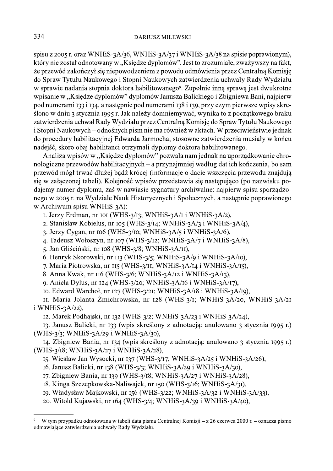spisu z 2005 r. oraz WNHiS-3A/36, WNHiS-3A/37 i WNHiS-3A/38 na spisie poprawionym), który nie został odnotowany w "Księdze dyplomów". Jest to zrozumiałe, zważywszy na fakt, że przewód zakończył się niepowodzeniem z powodu odmówienia przez Centralną Komisie do Spraw Tytułu Naukowego i Stopni Naukowych zatwierdzenia uchwały Rady Wydziału w sprawie nadania stopnia doktora habilitowanego<sup>9</sup>. Zupełnie inną sprawą jest dwukrotne wpisanie w "Księdze dyplomów" dyplomów Janusza Balickiego i Zbigniewa Bani, najpierw pod numerami 133 i 134, a następnie pod numerami 138 i 139, przy czym pierwsze wpisy skreślono w dniu 3 stycznia 1995 r. Jak należy domniemywać, wynika to z początkowego braku zatwierdzenia uchwał Rady Wydziału przez Centralną Komisję do Spraw Tytułu Naukowego i Stopni Naukowych – odnośnych pism nie ma również w aktach. W przeciwieństwie jednak do procedury habilitacyjnej Edwarda Jarmocha, stosowne zatwierdzenia musiały w końcu nadejść, skoro obaj habilitanci otrzymali dyplomy doktora habilitowanego.

Analiza wpisów w "Księdze dyplomów" pozwala nam jednak na uporządkowanie chronologiczne przewodów habilitacyjnych – a przynajmniej według dat ich kończenia, bo sam przewód mógł trwać dłużej bądź krócej (informacje o dacie wszczęcia przewodu znajdują się w załączonej tabeli). Kolejność wpisów przedstawia się następująco (po nazwisku podajemy numer dyplomu, zaś w nawiasie sygnatury archiwalne: najpierw spisu sporządzonego w 2005 r. na Wydziale Nauk Historycznych i Społecznych, a następnie poprawionego w Archiwum spisu WNHiS-3A):

- I. Jerzy Erdman, nr IOI (WHS-3/I3; WNHiS-3A/I i WNHiS-3A/2),
- 2. Stanisław Kobielus, nr 105 (WHS-3/14; WNHiS-3A/3 i WNHiS-3A/4),
- 3. Jerzy Cygan, nr 106 (WHS-3/10; WNHiS-3A/5 i WNHiS-3A/6),
- 4. Tadeusz Wołoszyn, nr 107 (WHS-3/12; WNHiS-3A/7 i WNHiS-3A/8),
- 5. Jan Gliściński, nr 108 (WHS-3/8; WNHiS-3A/11),
- 6. Henryk Skorowski, nr 113 (WHS-3/5; WNHiS-3A/9 i WNHiS-3A/10),
- 7. Maria Piotrowska, nr 115 (WHS-3/11; WNHiS-3A/14 i WNHiS-3A/15),
- 8. Anna Kwak, nr 116 (WHS-3/6; WNHiS-3A/12 i WNHiS-3A/13),
- 9. Aniela Dylus, nr 124 (WHS-3/20; WNHiS-3A/16 i WNHiS-3A/17),
- 10. Edward Warchoł, nr 127 (WHS-3/21; WNHiS-3A/18 i WNHiS-3A/19),

II. Maria Jolanta Żmichrowska, nr 128 (WHS-3/1; WNHiS-3A/20, WNHiS-3A/2I  $i$  WNH $iS-3A/22$ ),

12. Marek Podhajski, nr 132 (WHS-3/2; WNHiS-3A/23 i WNHiS-3A/24),

13. Janusz Balicki, nr 133 (wpis skreślony z adnotacją: anulowano 3 stycznia 1995 r.) (WHS-3/3; WNHiS-3A/29 i WNHiS-3A/30),

14. Zbigniew Bania, nr 134 (wpis skreślony z adnotacją: anulowano 3 stycznia 1995 r.) (WHS-3/18; WNHiS-3A/27 i WNHiS-3A/28),

15. Wiesław Jan Wysocki, nr 137 (WHS-3/17; WNHiS-3A/25 i WNHiS-3A/26),

- 16. Janusz Balicki, nr 138 (WHS-3/3; WNHiS-3A/29 i WNHiS-3A/30),
- 17. Zbigniew Bania, nr 139 (WHS-3/18; WNHiS-3A/27 i WNHiS-3A/28),
- 18. Kinga Szczepkowska-Naliwajek, nr 150 (WHS-3/16; WNHiS-3A/31),
- 19. Władysław Majkowski, nr 156 (WHS-3/22; WNHiS-3A/32 i WNHiS-3A/33),
- 20. Witold Kujawski, nr 164 (WHS-3/4; WNHiS-3A/39 i WNHiS-3A/40),

W tym przypadku odnotowana w tabeli data pisma Centralnej Komisii – z 26 czerwca 2000 r. – oznacza pismo odmawiające zatwierdzenia uchwały Rady Wydziału.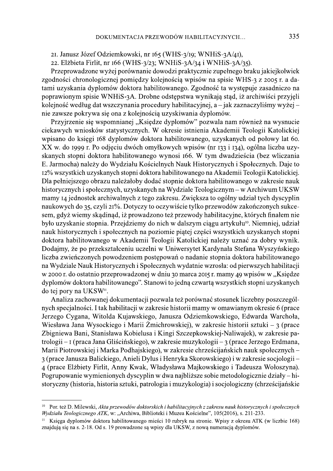21. Janusz Józef Odziemkowski, nr 165 (WHS-3/19; WNHiS-3A/41),

22. Elżbieta Firlit, nr 166 (WHS-3/23; WNHiS-3A/34 i WNHiS-3A/35).

Przeprowadzone wyżej porównanie dowodzi praktycznie zupełnego braku jakiejkolwiek zgodności chronologicznej pomiędzy kolejnością wpisów na spisie WHS-3 z 2005 r. a datami uzyskania dyplomów doktora habilitowanego. Zgodność ta występuje zasadniczo na poprawionym spisie WNHiS-3A. Drobne odstępstwa wynikają stąd, iż archiwiści przyjęli kolejność według dat wszczynania procedury habilitacyjnej, a – jak zaznaczyliśmy wyżej – nie zawsze pokrywa się ona z kolejnością uzyskiwania dyplomów.

Przyjrzenie się wspomnianej "Księdze dyplomów" pozwala nam również na wysnucie ciekawych wniosków statystycznych. W okresie istnienia Akademii Teologii Katolickiej wpisano do księgi 168 dyplomów doktora habilitowanego, uzyskanych od połowy lat 60. XX w. do 1999 r. Po odjęciu dwóch omyłkowych wpisów (nr 133 i 134), ogólna liczba uzyskanych stopni doktora habilitowanego wynosi 166. W tym dwadzieścia (bez wliczania E. Jarmocha) należy do Wydziału Kościelnych Nauk Historycznych i Społecznych. Daje to 12% wszystkich uzyskanych stopni doktora habilitowanego na Akademii Teologii Katolickiej. Dla pełniejszego obrazu należałoby dodać stopnie doktora habilitowanego w zakresie nauk historycznych i społecznych, uzyskanych na Wydziale Teologicznym – w Archiwum UKSW mamy 14 jednostek archiwalnych z tego zakresu. Zwiększa to ogólny udział tych dyscyplin naukowych do 35, czyli 21%. Dotyczy to oczywiście tylko przewodów zakończonych sukcesem, gdyż wiemy skądinąd, iż prowadzono też przewody habilitacyjne, których finałem nie było uzyskanie stopnia. Przejdziemy do nich w dalszym ciągu artykułu<sup>10</sup>. Niemniej, udział nauk historycznych i społecznych na poziomie piątej części wszystkich uzyskanych stopni doktora habilitowanego w Akademii Teologii Katolickiej należy uznać za dobry wynik. Dodajmy, że po przekształceniu uczelni w Uniwersytet Kardynała Stefana Wyszyńskiego liczba zwieńczonych powodzeniem postępowań o nadanie stopnia doktora habilitowanego na Wydziale Nauk Historycznych i Społecznych wydatnie wzrosła: od pierwszych habilitacji w 2000 r. do ostatnio przeprowadzonej w dniu 30 marca 2015 r. mamy 49 wpisów w "Księdze dyplomów doktora habilitowanego". Stanowi to jedną czwartą wszystkich stopni uzyskanych do tej pory na UKSW<sup>11</sup>.

Analiza zachowanej dokumentacji pozwala też porównać stosunek liczebny poszczególnych specjalności. I tak habilitacji w zakresie historii mamy w omawianym okresie 6 (prace Jerzego Cygana, Witolda Kujawskiego, Janusza Odziemkowskiego, Edwarda Warchoła, Wiesława Jana Wysockiego i Marii Żmichrowskiej), w zakresie historii sztuki – 3 (prace Zbigniewa Bani, Stanisława Kobielusa i Kingi Szczepkowskiej-Naliwajek), w zakresie patrologii – I (praca Jana Gliścińskiego), w zakresie muzykologii – 3 (prace Jerzego Erdmana, Marii Piotrowskiej i Marka Podhajskiego), w zakresie chrześcijańskich nauk społecznych -3 (prace Janusza Balickiego, Anieli Dylus i Henryka Skorowskiego) i w zakresie socjologii – 4 (prace Elżbiety Firlit, Anny Kwak, Władysława Majkowskiego i Tadeusza Wołoszyna). Pogrupowanie wymienionych dyscyplin w dwa najbliższe sobie metodologicznie działy – historyczny (historia, historia sztuki, patrologia i muzykologia) i socjologiczny (chrześcijańskie

<sup>&</sup>lt;sup>10</sup> Por. też D. Milewski, Akta przewodów doktorskich i habilitacyjnych z zakresu nauk historycznych i społecznych Wydziału Teologicznego ATK, w: "Archiwa, Biblioteki i Muzea Kościelne", 105(2016), s. 211-233.

<sup>&</sup>lt;sup>11</sup> Ksiega dyplomów doktora habilitowanego mieści 10 rubryk na stronie. Wpisy z okresu ATK (w liczbie 168) znajdują się na s. 2-18. Od s. 19 prowadzone są wpisy dla UKSW, z nową numeracją dyplomów.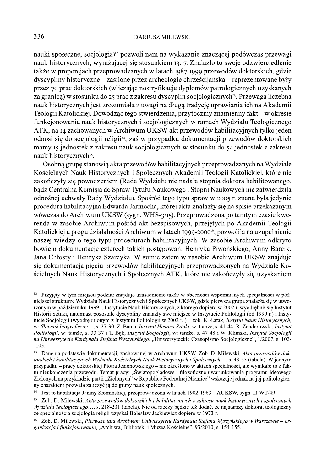nauki społeczne, socjologia)<sup>12</sup> pozwoli nam na wykazanie znaczącej podówczas przewagi nauk historycznych, wyrażającej się stosunkiem 13: 7. Znalazło to swoje odzwierciedlenie także w proporcjach przeprowadzanych w latach 1987-1999 przewodów doktorskich, gdzie dyscypliny historyczne – zasilone przez archeologię chrześcijańską – reprezentowane były przez 70 prac doktorskich (wliczając nostryfikacje dyplomów patrologicznych uzyskanych za granica) w stosunku do 25 prac z zakresu dyscyplin socjologicznych<sup>13</sup>. Przewaga liczebna nauk historycznych jest zrozumiała z uwagi na długą tradycję uprawiania ich na Akademii Teologii Katolickiej. Dowodząc tego stwierdzenia, przytoczmy znamienny fakt – w okresie funkcjonowania nauk historycznych i socjologicznych w ramach Wydziału Teologicznego ATK, na 14 zachowanych w Archiwum UKSW akt przewodów habilitacyjnych tylko jeden odnosi się do socjologii religii<sup>14</sup>, zaś w przypadku dokumentacji przewodów doktorskich mamy 15 jednostek z zakresu nauk socjologicznych w stosunku do 54 jednostek z zakresu nauk historycznych<sup>15</sup>.

Osobną grupę stanowią akta przewodów habilitacyjnych przeprowadzanych na Wydziale Kościelnych Nauk Historycznych i Społecznych Akademii Teologii Katolickiej, które nie zakończyły się powodzeniem (Rada Wydziału nie nadała stopnia doktora habilitowanego, bądź Centralna Komisja do Spraw Tytułu Naukowego i Stopni Naukowych nie zatwierdziła odnośnej uchwały Rady Wydziału). Spośród tego typu spraw w 2005 r. znana była jedynie procedura habilitacyjna Edwarda Jarmocha, której akta znalazły się na spisie przekazanym wówczas do Archiwum UKSW (sygn. WHS-3/15). Przeprowadzona po tamtym czasie kwerenda w zasobie Archiwum pośród akt bezspisowych, przejętych po Akademii Teologii Katolickiej u progu działalności Archiwum w latach 1999-2000<sup>16</sup>, pozwoliła na uzupełnienie naszej wiedzy o tego typu procedurach habilitacyjnych. W zasobie Archiwum odkryto bowiem dokumentację czterech takich postępowań: Henryka Piwońskiego, Anny Barcik, Jana Chłosty i Henryka Szareyka. W sumie zatem w zasobie Archiwum UKSW znajduje się dokumentacja pięciu przewodów habilitacyjnych przeprowadzonych na Wydziale Kościelnych Nauk Historycznych i Społecznych ATK, które nie zakończyły się uzyskaniem

<sup>&</sup>lt;sup>12</sup> Przyjęty w tym miejscu podział znajduje uzasadnienie także w obecności wspomnianych specjalności w późniejszej strukturze Wydziału Nauk Historycznych i Społecznych UKSW, gdzie pierwsza grupa znalazła się w utworzonym w październiku 1999 r. Instytucie Nauk Historycznych, z którego dopiero w 2002 r. wyodrębnił się Instytut Historii Sztuki, natomiast pozostałe dyscypliny znalazły swe miejsce w Instytucie Politologii (od 1999 r.) i Instytucie Socjologii (wyodrębnionym z Instytutu Politologii w 2002 r.) – zob. K. Łatak, Instytut Nauk Historycznych, w: Słownik biograficzny..., s. 27-30; Z. Bania, Instytut Historii Sztuki, w: tamże, s. 41-44; R. Zenderowski, Instytut Politologii, w: tamże, s. 33-37 i T. Bak, Instytut Socjologii, w: tamże, s. 47-48 i W. Klimski, Instytut Socjologii na Uniwersytecie Kardynała Stefana Wyszyńskiego, "Uniwersyteckie Czasopismo Socjologiczne", 1/2007, s. 102- $-103$ 

 $13\,$ Dane na podstawie dokumentacji, zachowanej w Archiwum UKSW, Zob, D. Milewski, Akta przewodów doktorskich i habilitacyjnych Wydziału Kościelnych Nauk Historycznych i Społecznych..., s. 43-55 (tabela). W jednym przypadku – pracy doktorskiej Piotra Jesionowskiego – nie określono w aktach specjalności, ale wynikało to z faktu nieukończenia przewodu. Temat pracy: "Światopogladowe i filozoficzne uwarunkowania programu ideowego Zielonych na przykładzie partii "Zielonych" w Republice Federalnej Niemiec" wskazuje jednak na jej politologiczny charakter i pozwala zaliczyć ją do grupy nauk społecznych.

 $14\,$ Jest to habilitacia Janiny Słomińskiej, przeprowadzona w latach 1982-1983 – AUKSW, sygn. H-WT/49.

 $15 -$ Zob. D. Milewski, Akta przewodów doktorskich i habilitacyjnych z zakresu nauk historycznych i społecznych Wydziału Teologicznego..., s. 218-231 (tabela). Nie od rzeczy będzie też dodać, że najstarszy doktorat teologiczny ze specjalnością socjologia religii uzyskał Bolesław Jackiewicz dopiero w 1973 r.

Zob. D. Milewski, Pierwsze lata Archiwum Uniwersytetu Kardynała Stefana Wyszyńskiego w Warszawie – or- $16\,$ ganizacja i funkcjonowanie, "Archiwa, Biblioteki i Muzea Kościelne", 93/2010, s. 154-155.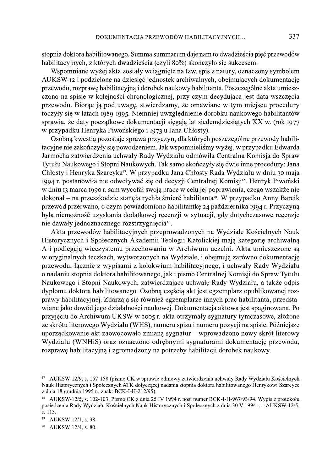stopnia doktora habilitowanego. Summa summarum daje nam to dwadzieścia pięć przewodów habilitacyjnych, z których dwadzieścia (czyli 80%) skończyło się sukcesem.

Wspomniane wyżej akta zostały wciągnięte na tzw. spis z natury, oznaczony symbolem AUKSW-12 i podzielone na dziesięć jednostek archiwalnych, obejmujących dokumentację przewodu, rozprawę habilitacyjną i dorobek naukowy habilitanta. Poszczególne akta umieszczono na spisie w kolejności chronologicznej, przy czym decydująca jest data wszczęcia przewodu. Biorąc ją pod uwagę, stwierdzamy, że omawiane w tym miejscu procedury toczyły się w latach 1989-1995. Niemniej uwzględnienie dorobku naukowego habilitantów sprawia, że daty początkowe dokumentacji sięgają lat siedemdziesiątych XX w. (rok 1977 w przypadku Henryka Piwońskiego i 1973 u Jana Chłosty).

Osobną kwestią pozostaje sprawa przyczyn, dla których poszczególne przewody habilitacyjne nie zakończyły się powodzeniem. Jak wspomnieliśmy wyżej, w przypadku Edwarda Jarmocha zatwierdzenia uchwały Rady Wydziału odmówiła Centralna Komisia do Spraw Tytułu Naukowego i Stopni Naukowych. Tak samo skończyły się dwie inne procedury: Jana Chłosty i Henryka Szareyka<sup>17</sup>. W przypadku Jana Chłosty Rada Wydziału w dniu 30 maja 1994 r. postanowiła nie odwoływać się od decyzji Centralnej Komisji<sup>18</sup>. Henryk Piwoński w dniu 13 marca 1990 r. sam wycofał swoją pracę w celu jej poprawienia, czego wszakże nie dokonał – na przeszkodzie stanęła rychła śmierć habilitanta<sup>19</sup>. W przypadku Anny Barcik przewód przerwano, o czym powiadomiono habilitantkę 24 października 1994 r. Przyczyną była niemożność uzyskania dodatkowej recenzji w sytuacji, gdy dotychczasowe recenzje nie dawały jednoznacznego rozstrzygnięcia<sup>20</sup>.

Akta przewodów habilitacyjnych przeprowadzonych na Wydziale Kościelnych Nauk Historycznych i Społecznych Akademii Teologii Katolickiej mają kategorię archiwalną A i podlegają wieczystemu przechowaniu w Archiwum uczelni. Akta umieszczone są w oryginalnych teczkach, wytworzonych na Wydziale, i obejmują zarówno dokumentację przewodu, łącznie z wypisami z kolokwium habilitacyjnego, i uchwały Rady Wydziału o nadaniu stopnia doktora habilitowanego, jak i pismo Centralnej Komisii do Spraw Tytułu Naukowego i Stopni Naukowych, zatwierdzające uchwałę Rady Wydziału, a także odpis dyplomu doktora habilitowanego. Osobna częścia akt jest egzemplarz opublikowanej rozprawy habilitacyjnej. Zdarzają się również egzemplarze innych prac habilitanta, przedstawiane jako dowód jego działalności naukowej. Dokumentacja aktowa jest spaginowana. Po przyjęciu do Archiwum UKSW w 2005 r. akta otrzymały sygnatury tymczasowe, złożone ze skrótu literowego Wydziału (WHS), numeru spisu i numeru pozycji na spisie. Późniejsze uporządkowanie akt zaowocowało zmianą sygnatur – wprowadzono nowy skrót literowy Wydziału (WNHiS) oraz oznaczono odrębnymi sygnaturami dokumentację przewodu, rozprawę habilitacyjną i zgromadzony na potrzeby habilitacji dorobek naukowy.

<sup>17</sup> AUKSW-12/9, s. 157-158 (pismo CK w sprawie odmowy zatwierdzenia uchwały Rady Wydziału Kościelnych Nauk Historycznych i Społecznych ATK dotyczącej nadania stopnia doktora habilitowanego Henrykowi Szareyce z dnia 18 grudnia 1995 r., znak: BCK-I-H-212/95).

<sup>18</sup> AUKSW-12/5, s. 102-103. Pismo CK z dnia 25 IV 1994 r. nosi numer BCK-I-H-967/93/94. Wypis z protokołu posiedzenia Rady Wydziału Kościelnych Nauk Historycznych i Społecznych z dnia 30 V 1994 r. - AUKSW-12/5, s. 113.

<sup>19</sup> AUKSW-12/1, s. 38.

<sup>20</sup> AUKSW-12/4, s. 80.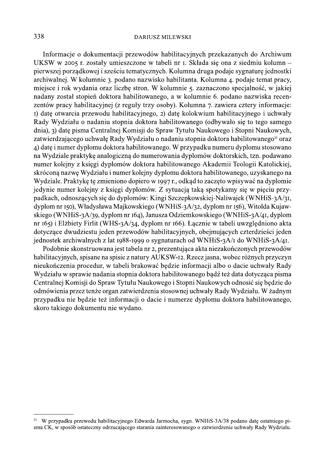#### **DARIUSZ MILEWSKI**

Informacje o dokumentacji przewodów habilitacyjnych przekazanych do Archiwum UKSW w 2005 r. zostały umieszczone w tabeli nr I. Składa się ona z siedmiu kolumn pierwszej porządkowej i sześciu tematycznych. Kolumna druga podaje sygnaturę jednostki archiwalnej. W kolumnie 3. podano nazwisko habilitanta. Kolumna 4. podaje temat pracy, miejsce i rok wydania oraz liczbę stron. W kolumnie 5. zaznaczono specjalność, w jakiej nadany został stopień doktora habilitowanego, a w kolumnie 6. podano nazwiska recenzentów pracy habilitacyjnej (z reguły trzy osoby). Kolumna 7. zawiera cztery informacje: I) date otwarcia przewodu habilitacyjnego, 2) datę kolokwium habilitacyjnego i uchwały Rady Wydziału o nadaniu stopnia doktora habilitowanego (odbywało się to tego samego dnia), 3) datę pisma Centralnej Komisji do Spraw Tytułu Naukowego i Stopni Naukowych, zatwierdzającego uchwałę Rady Wydziału o nadaniu stopnia doktora habilitowanego<sup>21</sup> oraz 4) date i numer dyplomu doktora habilitowanego. W przypadku numeru dyplomu stosowano na Wydziale praktykę analogiczną do numerowania dyplomów doktorskich, tzn. podawano numer kolejny z księgi dyplomów doktora habilitowanego Akademii Teologii Katolickiej, skróconą nazwę Wydziału i numer kolejny dyplomu doktora habilitowanego, uzyskanego na Wydziale. Praktykę tę zmieniono dopiero w 1997 r., odkąd to zaczęto wpisywać na dyplomie jedynie numer kolejny z księgi dyplomów. Z sytuacją taką spotykamy się w pięciu przypadkach, odnoszących się do dyplomów: Kingi Szczepkowskiej-Naliwajek (WNHiS-3A/31, dyplom nr 150), Władysława Majkowskiego (WNHiS-3A/32, dyplom nr 156), Witolda Kujawskiego (WNHiS-3A/39, dyplom nr 164), Janusza Odziemkowskiego (WNHiS-3A/41, dyplom nr 165) i Elżbiety Firlit (WHS-3A/34, dyplom nr 166). Łącznie w tabeli uwzględniono akta dotyczące dwudziestu jeden przewodów habilitacyjnych, obejmujących czterdzieści jeden jednostek archiwalnych z lat 1988-1999 o sygnaturach od WNHiS-3A/1 do WNHiS-3A/41.

Podobnie skonstruowana jest tabela nr 2, prezentująca akta niezakończonych przewodów habilitacyjnych, spisane na spisie z natury AUKSW-12. Rzecz jasna, wobec różnych przyczyn nieukończenia procedur, w tabeli brakować będzie informacji albo o dacie uchwały Rady Wydziału w sprawie nadania stopnia doktora habilitowanego bądź też data dotycząca pisma Centralnej Komisji do Spraw Tytułu Naukowego i Stopni Naukowych odnosić się będzie do odmówienia przez tenże organ zatwierdzenia stosownej uchwały Rady Wydziału. W żadnym przypadku nie będzie też informacji o dacie i numerze dyplomu doktora habilitowanego, skoro takiego dokumentu nie wydano.

<sup>&</sup>lt;sup>21</sup> W przypadku przewodu habilitacyjnego Edwarda Jarmocha, sygn. WNHiS-3A/38 podano date ostatniego pisma CK, w sposób ostateczny odrzucającego starania zainteresowanego o zatwierdzenie uchwały Rady Wydziału.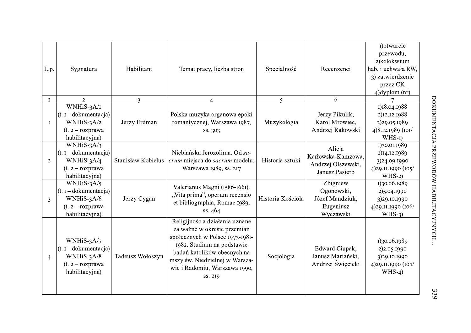| L.p.           | Sygnatura                                                                                          | Habilitant         | Temat pracy, liczba stron                                                                                                                                                                                                                   | Specjalność             | Recenzenci                                                           | I) otwarcie<br>przewodu,<br>2)kolokwium<br>hab. i uchwała RW,<br>3) zatwierdzenie<br>przez CK<br>$4)$ dyplom $(nr)$ |
|----------------|----------------------------------------------------------------------------------------------------|--------------------|---------------------------------------------------------------------------------------------------------------------------------------------------------------------------------------------------------------------------------------------|-------------------------|----------------------------------------------------------------------|---------------------------------------------------------------------------------------------------------------------|
| $\bf{I}$       | $\overline{2}$                                                                                     | $\mathbf{3}$       |                                                                                                                                                                                                                                             | $\overline{\mathbf{S}}$ | 6                                                                    |                                                                                                                     |
| I              | WNHiS-3A/I<br>$(t. i - dokumentacija)$<br>WNHiS-3A/2<br>$(t. 2 - rozprawa)$<br>habilitacyjna)      | Jerzy Erdman       | Polska muzyka organowa epoki<br>romantycznej, Warszawa 1987,<br>ss. 303                                                                                                                                                                     | Muzykologia             | Jerzy Pikulik,<br>Karol Mrowiec,<br>Andrzej Rakowski                 | 1)18.04.1988<br>2)12.12.1988<br>3)29.05.1989<br>4)8.12.1989 (101/<br>$WHS-I$                                        |
| $\overline{2}$ | WNHiS- $3A/3$<br>$(t. i - dokumentacia)$<br>WNHiS- $3A/4$<br>$(t. 2 - rozprawa)$<br>habilitacyjna) | Stanisław Kobielus | Niebiańska Jerozolima. Od sa-<br>crum miejsca do sacrum modelu,<br>Warszawa 1989, ss. 217                                                                                                                                                   | Historia sztuki         | Alicja<br>Karłowska-Kamzowa,<br>Andrzej Olszewski,<br>Janusz Pasierb | 1)30.01.1989<br>2)14.12.1989<br>3)24.09.1990<br>4)29.11.1990 (105/<br>$WHS-2$                                       |
| 3              | WNHiS- $3A/5$<br>$(t. i - dokumentacia)$<br>WNHiS-3A/6<br>$(t. 2 - rozprawa)$<br>habilitacyjna)    | Jerzy Cygan        | Valerianus Magni (1586-1661).<br>"Vita prima", operum recensio<br>et bibliographia, Romae 1989,<br>ss.464                                                                                                                                   | Historia Kościoła       | Zbigniew<br>Ogonowski,<br>Józef Mandziuk,<br>Eugeniusz<br>Wyczawski  | 1)30.06.1989<br>2)5.04.1990<br>3)29.10.1990<br>4)29.11.1990 (106/<br>$WHS-3)$                                       |
| $\overline{4}$ | WNHiS- $3A/7$<br>$(t. i - dokumentacia)$<br>WNHiS-3A/8<br>$(t. 2 - rozprawa)$<br>habilitacyjna)    | Tadeusz Wołoszyn   | Religijność a działania uznane<br>za ważne w okresie przemian<br>społecznych w Polsce 1973-1981-<br>1982. Studium na podstawie<br>badań katolików obecnych na<br>mszy św. Niedzielnej w Warsza-<br>wie i Radomiu, Warszawa 1990,<br>SS. 219 | Socjologia              | Edward Ciupak,<br>Janusz Mariański,<br>Andrzej Święcicki             | 1)30.06.1989<br>2) 2.05.1990<br>3)29.10.1990<br>4)29.11.1990 (107/<br>$WHS-4$                                       |

339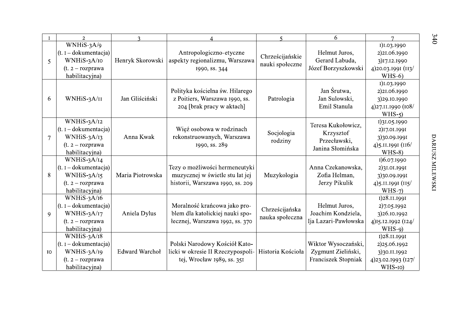|                | $\overline{2}$                                                                                    | $\mathbf{3}$          |                                                                                                       | $\leq$                             | 6                                                                   |                                                                               |
|----------------|---------------------------------------------------------------------------------------------------|-----------------------|-------------------------------------------------------------------------------------------------------|------------------------------------|---------------------------------------------------------------------|-------------------------------------------------------------------------------|
| 5              | WNHiS-3A/9<br>$(t. i - dokumentacia)$<br>WNHiS-3A/10<br>$(t. 2 - rozprawa)$<br>habilitacyjna)     | Henryk Skorowski      | Antropologiczno-etyczne<br>aspekty regionalizmu, Warszawa<br>1990, ss. 344                            | Chrześcijańskie<br>nauki społeczne | Helmut Juros,<br>Gerard Labuda,<br>Józef Borzyszkowski              | 1)1.03.1990<br>2)21.06.1990<br>3)17.12.1990<br>4)20.03.1991 (113/<br>$WHS-6$  |
| 6              | WNHiS-3A/II                                                                                       | Jan Gliściński        | Polityka kościelna św. Hilarego<br>z Poitiers, Warszawa 1990, ss.<br>204 [brak pracy w aktach]        | Patrologia                         | Jan Śrutwa,<br>Jan Sulowski,<br>Emil Stanula                        | 1)1.03.1990<br>2)21.06.1990<br>3)29.10.1990<br>4)27.11.1990 (108/<br>$WHS-5$  |
| $\overline{7}$ | WNHiS-3A/12<br>$(t. i - dokumentacija)$<br>$WNHiS-3A/13$<br>$(t. 2 - rozprawa)$<br>habilitacyjna) | Anna Kwak             | Więź osobowa w rodzinach<br>rekonstruowanych, Warszawa<br>1990, ss. 289                               | Socjologia<br>rodziny              | Teresa Kukołowicz,<br>Krzysztof<br>Przecławski,<br>Janina Słomińska | 1)31.05.1990<br>2)17.01.1991<br>3)30.09.1991<br>4) 5.11.1991 (116/<br>$WHS-8$ |
| 8              | WNHiS-3A/14<br>$(t. I - dokumentacia)$<br>WNHiS-3A/15<br>$(t. 2 - rozprawa)$<br>habilitacyjna)    | Maria Piotrowska      | Tezy o możliwości hermeneutyki<br>muzycznej w świetle stu lat jej<br>historii, Warszawa 1990, ss. 209 | Muzykologia                        | Anna Czekanowska,<br>Zofia Helman,<br>Jerzy Pikulik                 | 1)6.07.1990<br>2)31.01.1991<br>3)30.09.1991<br>4) 5.II.I99I (II5/<br>$WHS-7$  |
| 9              | WNH $iS-3A/16$<br>$(t. i - dokumentacia)$<br>WNHiS-3A/17<br>$(t. 2 - rozprawa)$<br>habilitacyjna) | Aniela Dylus          | Moralność krańcowa jako pro-<br>blem dla katolickiej nauki spo-<br>łecznej, Warszawa 1992, ss. 370    | Chrześcijańska<br>nauka społeczna  | Helmut Juros,<br>Joachim Kondziela,<br>Ija Lazari-Pawłowska         | 1)28.11.1991<br>2)7.05.1992<br>3)26.10.1992<br>4)15.12.1992 (124/<br>$WHS-9$  |
| <b>IO</b>      | $WNHiS-3A/18$<br>$(t. I - dokumentacija)$<br>WNHiS-3A/19<br>$(t. 2 - rozprawa)$<br>habilitacyjna) | <b>Edward Warchoł</b> | Polski Narodowy Kościół Kato-<br>licki w okresie II Rzeczypospoli-<br>tej, Wrocław 1989, ss. 351      | Historia Kościoła                  | Wiktor Wysoczański,<br>Zygmunt Zieliński,<br>Franciszek Stopniak    | I)28.II.I99I<br>2)25.06.1992<br>3)30.11.1992<br>4)23.02.1993 (127/<br>WHS-IO) |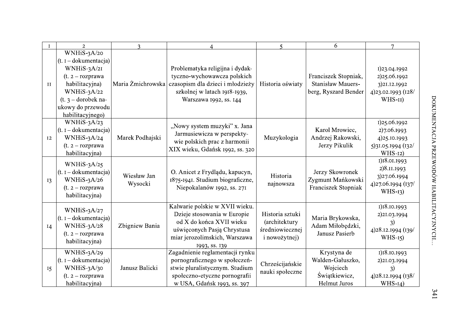|           | $\overline{2}$                                                                                                                                                                           | $\mathbf{R}$           |                                                                                                                                                                                | $\varsigma$                                                                 | 6                                                                            | $\overline{7}$                                                                |
|-----------|------------------------------------------------------------------------------------------------------------------------------------------------------------------------------------------|------------------------|--------------------------------------------------------------------------------------------------------------------------------------------------------------------------------|-----------------------------------------------------------------------------|------------------------------------------------------------------------------|-------------------------------------------------------------------------------|
| II        | WNHiS-3A/20<br>$(t. i - dokumentacia)$<br>WNHiS-3A/21<br>$(t. 2 - rozprawa)$<br>habilitacyjna)<br>WNHiS- $3A/22$<br>$(t. 3 - \text{drobek na-}$<br>ukowy do przewodu<br>habilitacyjnego) |                        | Problematyka religijna i dydak-<br>tyczno-wychowawcza polskich<br>Maria Żmichrowska czasopism dla dzieci i młodzieży<br>szkolnej w latach 1918-1939,<br>Warszawa 1992, ss. 144 | Historia oświaty                                                            | Franciszek Stopniak,<br><b>Stanisław Mauers-</b><br>berg, Ryszard Bender     | 1)23.04.1992<br>2)25.06.1992<br>3)21.12.1992<br>4)23.02.1993 (128/<br>WHS-II) |
| 12        | WNHiS-3A/23<br>$(t. I - dokumentacija)$<br>WNHiS- $3A/24$<br>$(t. 2 - rozprawa)$<br>habilitacyjna)                                                                                       | Marek Podhajski        | "Nowy system muzyki" x. Jana<br>Jarmusiewicza w perspekty-<br>wie polskich prac z harmonii<br>XIX wieku, Gdańsk 1992, ss. 320                                                  | Muzykologia                                                                 | Karol Mrowiec,<br>Andrzej Rakowski,<br>Jerzy Pikulik                         | 1)25.06.1992<br>2)7.06.1993<br>4)25.10.1993<br>5)31.05.1994 (132/<br>$WHS-I2$ |
| <b>I3</b> | WNHiS- $3A/25$<br>$(t. i - dokumentacia)$<br>WNHiS-3A/26<br>$(t. 2 - rozprawa)$<br>habilitacyjna)                                                                                        | Wiesław Jan<br>Wysocki | O. Anicet z Frydlądu, kapucyn,<br>1875-1941. Studium biograficzne,<br>Niepokalanów 1992, ss. 271                                                                               | Historia<br>najnowsza                                                       | Jerzy Skowronek<br>Zygmunt Mańkowski<br>Franciszek Stopniak                  | 1)18.01.1993<br>2)8.11.1993<br>3)27.06.1994<br>4)27.06.1994 (137/<br>$WHS-13$ |
| I4        | WNHiS- $3A/27$<br>$(t. I - dokumentacija)$<br>WNHiS- $3A/28$<br>$(t. 2 - rozprawa)$<br>habilitacyjna)                                                                                    | Zbigniew Bania         | Kalwarie polskie w XVII wieku.<br>Dzieje stosowania w Europie<br>od X do końca XVII wieku<br>uświęconych Pasją Chrystusa<br>miar jerozolimskich, Warszawa<br>1993, ss. 139     | Historia sztuki<br><i>(architektury</i><br>średniowiecznej<br>i nowożytnej) | Maria Brykowska,<br>Adam Miłobędzki,<br>Janusz Pasierb                       | 1)18.10.1993<br>2)21.03.1994<br>4)28.12.1994 (139/<br>$WHS-15$                |
| <b>I5</b> | WNHiS-3A/29<br>$(t. i - dokumentacija)$<br>$WNHiS-3A/30$<br>$(t. 2 - rozprawa)$<br>habilitacyjna)                                                                                        | Janusz Balicki         | Zagadnienie reglamentacji rynku<br>pornograficznego w społeczeń-<br>stwie pluralistycznym. Studium<br>społeczno-etyczne pornografii<br>w USA, Gdańsk 1993, ss. 397             | Chrześcijańskie<br>nauki społeczne                                          | Krystyna de<br>Walden-Gałuszko,<br>Wojciech<br>Świątkiewicz,<br>Helmut Juros | 1)18.10.1993<br>2)21.03.1994<br>4)28.12.1994 (138/<br>$WHS-I4$ )              |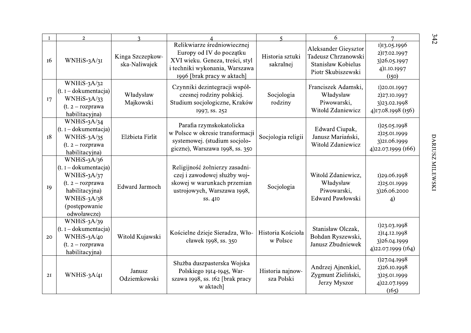| $\mathbf{I}$ | $\overline{2}$                                                                                                                                          | $\mathbf{R}$                      |                                                                                                                                                            | $\varsigma$                    | 6                                                                                       |                                                                                    |
|--------------|---------------------------------------------------------------------------------------------------------------------------------------------------------|-----------------------------------|------------------------------------------------------------------------------------------------------------------------------------------------------------|--------------------------------|-----------------------------------------------------------------------------------------|------------------------------------------------------------------------------------|
| 16           | $WNHiS-3A/3I$                                                                                                                                           | Kinga Szczepkow-<br>ska-Naliwajek | Relikwiarze średniowiecznej<br>Europy od IV do początku<br>XVI wieku. Geneza, treści, styl<br>i techniki wykonania, Warszawa<br>1996 [brak pracy w aktach] | Historia sztuki<br>sakralnej   | Aleksander Gieysztor<br>Tadeusz Chrzanowski<br>Stanisław Kobielus<br>Piotr Skubiszewski | 1)13.05.1996<br>2)17.02.1997<br>3)26.05.1997<br>4) 1.10.1997<br>(I <sub>50</sub> ) |
| 17           | WNHiS- $3A/32$<br>$(t. I - dokumentacija)$<br>$WHiS-3A/33$<br>$(t. 2 - rozprawa)$<br>habilitacyjna)                                                     | Władysław<br>Majkowski            | Czynniki dezintegracji współ-<br>czesnej rodziny polskiej.<br>Studium socjologiczne, Kraków<br>1997, ss. 252                                               | Socjologia<br>rodziny          | Franciszek Adamski,<br>Władysław<br>Piwowarski,<br>Witold Zdaniewicz                    | I)20.01.1997<br>2)27.10.1997<br>3)23.02.1998<br>4)17.08.1998 (156)                 |
| <b>18</b>    | WNHiS- $3A/34$<br>$(t. I - dokumentacija)$<br>WNHiS-3A/35<br>$(t. 2 - rozprawa)$<br>habilitacyjna)                                                      | Elżbieta Firlit                   | Parafia rzymskokatolicka<br>w Polsce w okresie transformacji<br>systemowej. (studium socjolo-<br>giczne), Warszawa 1998, ss. 350                           | Socjologia religii             | Edward Ciupak,<br>Janusz Mariański,<br>Witold Zdaniewicz                                | 1)25.05.1998<br>2)25.01.1999<br>3)21.06.1999<br>4)22.07.1999 (166)                 |
| 19           | WNHiS- $3A/36$<br>$(t. I - dokumentacija)$<br>WNHiS- $3A/37$<br>$(t. 2 - rozprawa)$<br>habilitacyjna)<br>WNHiS- $3A/38$<br>(postępowanie<br>odwoławcze) | <b>Edward Jarmoch</b>             | Religijność żołnierzy zasadni-<br>czej i zawodowej służby woj-<br>skowej w warunkach przemian<br>ustrojowych, Warszawa 1998,<br>ss. 410                    | Socjologia                     | Witold Zdaniewicz,<br>Władysław<br>Piwowarski,<br>Edward Pawłowski                      | 1)29.06.1998<br>2)25.01.1999<br>3)26.06.2000<br>4)                                 |
| 20           | WNHiS- $3A/39$<br>$(t. I - dokumentacija)$<br>WNHiS-3A/40<br>$(t. 2 - rozprawa)$<br>habilitacyjna)                                                      | Witold Kujawski                   | Kościelne dzieje Sieradza, Wło-<br>cławek 1998, ss. 350                                                                                                    | Historia Kościoła<br>w Polsce  | Stanisław Olczak,<br>Bohdan Ryszewski,<br>Janusz Zbudniewek                             | 1)23.03.1998<br>2)14.12.1998<br>3)26.04.1999<br>4)22.07.1999 (164)                 |
| 2I           | WNHiS-3A/4I                                                                                                                                             | Janusz<br>Odziemkowski            | Służba duszpasterska Wojska<br>Polskiego 1914-1945, War-<br>szawa 1998, ss. 162 [brak pracy<br>w aktach]                                                   | Historia najnow-<br>sza Polski | Andrzej Ajnenkiel,<br>Zygmunt Zieliński,<br>Jerzy Myszor                                | 1)27.04.1998<br>2)26.10.1998<br>3)25.01.1999<br>4)22.07.1999<br>(165)              |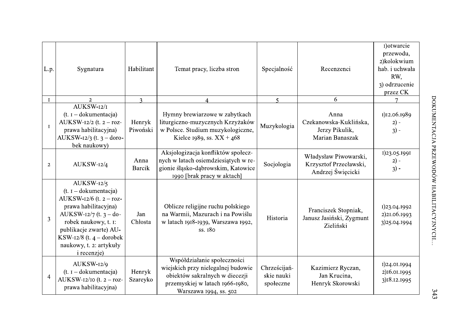| L.p.<br>$\bf{I}$ | Sygnatura<br>$\mathcal{L}$                                                                                                                                                                                                                                | Habilitant<br>3    | Temat pracy, liczba stron                                                                                                                                        | Specjalność<br>$\overline{5}$           | Recenzenci<br>6                                                      | 1) otwarcie<br>przewodu,<br>2)kolokwium<br>hab. i uchwała<br>RW,<br>3) odrzucenie<br>przez CK<br>$\tau$ |
|------------------|-----------------------------------------------------------------------------------------------------------------------------------------------------------------------------------------------------------------------------------------------------------|--------------------|------------------------------------------------------------------------------------------------------------------------------------------------------------------|-----------------------------------------|----------------------------------------------------------------------|---------------------------------------------------------------------------------------------------------|
| $\mathbf I$      | AUKSW-12/1<br>$(t. 1 - dokumentacija)$<br>AUKSW-12/2 (t. $2 - roz-$<br>prawa habilitacyjna)<br>AUKSW-12/3 (t. $3 -$ doro-<br>bek naukowy)                                                                                                                 | Henryk<br>Piwoński | Hymny brewiarzowe w zabytkach<br>liturgiczno-muzycznych Krzyżaków<br>w Polsce. Studium muzykologiczne,<br>Kielce 1989, ss. $XX + 468$                            | Muzykologia                             | Anna<br>Czekanowska-Kuklińska,<br>Jerzy Pikulik,<br>Marian Banaszak  | 1)12.06.1989<br>$2) -$<br>$3) -$                                                                        |
| $\overline{2}$   | AUKSW-12/4                                                                                                                                                                                                                                                | Anna<br>Barcik     | Aksjologizacja konfliktów społecz-<br>nych w latach osiemdziesiątych w re-<br>gionie śląsko-dąbrowskim, Katowice<br>1990 [brak pracy w aktach]                   | Socjologia                              | Władysław Piwowarski,<br>Krzysztof Przecławski,<br>Andrzej Święcicki | 1)23.05.1991<br>$2) -$<br>$3) -$                                                                        |
| $\overline{3}$   | AUKSW-12/5<br>$(t. I - dokumentacija)$<br>AUKSW-12/6 (t. $2 - roz-$<br>prawa habilitacyjna)<br>AUKSW- $12/7$ (t. 3 – do-<br>robek naukowy, t. I:<br>publikacje zwarte) AU-<br>KSW-12/8 (t. $4$ – dorobek<br>naukowy, t. 2: artykuły<br><i>i</i> recenzje) | Jan<br>Chłosta     | Oblicze religijne ruchu polskiego<br>na Warmii, Mazurach i na Powiślu<br>w latach 1918-1939, Warszawa 1992,<br>ss. 180                                           | Historia                                | Franciszek Stopniak,<br>Janusz Jasiński, Zygmunt<br>Zieliński        | 1)23.04.1992<br>2)21.06.1993<br>3)25.04.1994                                                            |
| $\overline{4}$   | AUKSW-12/9<br>$(t. 1 - dokumentacija)$<br>AUKSW-12/10 (t. $2 - roz-$<br>prawa habilitacyjna)                                                                                                                                                              | Henryk<br>Szareyko | Współdziałanie społeczności<br>wiejskich przy nielegalnej budowie<br>obiektów sakralnych w diecezji<br>przemyskiej w latach 1966-1980,<br>Warszawa 1994, ss. 502 | Chrześcijań-<br>skie nauki<br>społeczne | Kazimierz Ryczan,<br>Jan Krucina,<br>Henryk Skorowski                | 1)24.01.1994<br>2)16.01.1995<br>3)18.12.1995                                                            |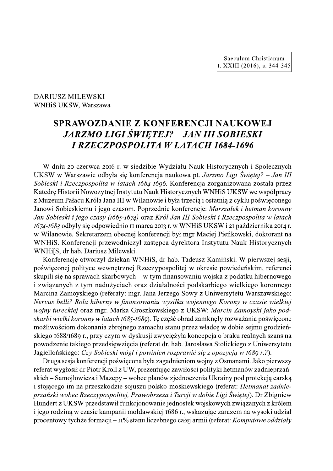Saeculum Christianum t. XXIII (2016), s. 344-345

**DARIUSZ MILEWSKI** WNHiS UKSW, Warszawa

# SPRAWOZDANIE Z KONFERENCJI NAUKOWEJ **JARZMO LIGI ŚWIĘTEJ? – JAN III SOBIESKI I RZECZPOSPOLITA W LATACH 1684-1696**

W dniu 20 czerwca 2016 r. w siedzibie Wydziału Nauk Historycznych i Społecznych UKSW w Warszawie odbyła się konferencja naukowa pt. Jarzmo Ligi Świętej? – Jan III Sobieski i Rzeczpospolita w latach 1684-1696. Konferencja zorganizowana została przez Katedrę Historii Nowożytnej Instytutu Nauk Historycznych WNHiS UKSW we współpracy z Muzeum Pałacu Króla Jana III w Wilanowie i była trzecia i ostatnia z cyklu poświeconego Janowi Sobieskiemu i jego czasom. Poprzednie konferencje: Marszałek i hetman koronny Jan Sobieski i jego czasy (1665-1674) oraz Król Jan III Sobieski i Rzeczpospolita w latach 1674-1683 odbyły się odpowiednio II marca 2013 r. w WNHiS UKSW i 21 października 2014 r. w Wilanowie. Sekretarzem obecnej konferencji był mgr Maciej Pieńkowski, doktorant na WNHIS. Konferencji przewodniczył zastępca dyrektora Instytutu Nauk Historycznych WNHi[S, dr hab. Dariusz Milewski.

Konferencję otworzył dziekan WNHiS, dr hab. Tadeusz Kamiński. W pierwszej sesji, poświęconej polityce wewnętrznej Rzeczypospolitej w okresie powiedeńskim, referenci skupili się na sprawach skarbowych – w tym finansowaniu wojska z podatku hibernowego i związanych z tym nadużyciach oraz działalności podskarbiego wielkiego koronnego Marcina Zamoyskiego (referaty: mgr. Jana Jerzego Sowy z Uniwersytetu Warszawskiego: Nervus belli? Rola hiberny w finansowaniu wysiłku wojennego Korony w czasie wielkiej wojny tureckiej oraz mgr. Marka Groszkowskiego z UKSW: Marcin Zamoyski jako podskarbi wielki koronny w latach 1685-1689). Tę część obrad zamknęły rozważania poświęcone możliwościom dokonania zbrojnego zamachu stanu przez władcę w dobie sejmu grodzieńskiego 1688/1689 r., przy czym w dyskusji zwyciężyła koncepcja o braku realnych szans na powodzenie takiego przedsięwzięcia (referat dr. hab. Jarosława Stolickiego z Uniwersytetu Jagiellońskiego: Czy Sobieski mógł i powinien rozprawić się z opozycją w 1689 r.?).

Druga sesia konferencji poświęcona była zagadnieniom wojny z Osmanami. Jako pierwszy referat wygłosił dr Piotr Kroll z UW, prezentując zawiłości polityki hetmanów zadnieprzańskich – Samojłowicza i Mazepy – wobec planów zjednoczenia Ukrainy pod protekcją carską i stojącego im na przeszkodzie sojuszu polsko-moskiewskiego (referat: Hetmanat zadnieprzański wobec Rzeczypospolitej, Prawobrzeża i Turcji w dobie Ligi Świętej). Dr Zbigniew Hundert z UKSW przedstawił funkcjonowanie jednostek wojskowych związanych z królem i jego rodziną w czasie kampanii mołdawskiej 1686 r., wskazując zarazem na wysoki udział procentowy tychże formacji –  $\text{II}\%$  stanu liczebnego całej armii (referat: *Komputowe oddziały*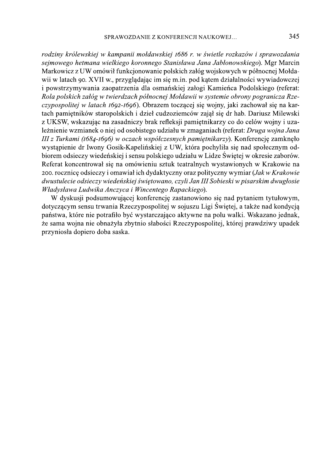rodziny królewskiej w kampanii mołdawskiej 1686 r. w świetle rozkazów i sprawozdania sejmowego hetmana wielkiego koronnego Stanisława Jana Jabłonowskiego). Mgr Marcin Markowicz z UW omówił funkcjonowanie polskich załóg wojskowych w północnej Mołdawii w latach 90. XVII w., przyglądając im się m.in. pod kątem działalności wywiadowczej i powstrzymywania zaopatrzenia dla osmańskiej załogi Kamieńca Podolskiego (referat: Rola polskich załóg w twierdzach północnej Mołdawii w systemie obrony pogranicza Rzeczypospolitej w latach 1692-1696). Obrazem toczącej się wojny, jaki zachował się na kartach pamietników staropolskich i dzieł cudzoziemców zajął się dr hab. Dariusz Milewski z UKSW, wskazując na zasadniczy brak refleksji pamiętnikarzy co do celów wojny i uzależnienie wzmianek o niej od osobistego udziału w zmaganiach (referat: Druga wojna Jana III z Turkami (1684-1696) w oczach współczesnych pamiętnikarzy). Konferencję zamknęło wystąpienie dr Iwony Gosik-Kapelińskiej z UW, która pochyliła się nad społecznym odbiorem odsieczy wiedeńskiej i sensu polskiego udziału w Lidze Świętej w okresie zaborów. Referat koncentrował się na omówieniu sztuk teatralnych wystawionych w Krakowie na 200. rocznicę odsieczy i omawiał ich dydaktyczny oraz polityczny wymiar (Jak w Krakowie dwustulecie odsieczy wiedeńskiej świętowano, czyli Jan III Sobieski w pisarskim dwugłosie Władysława Ludwika Anczyca i Wincentego Rapackiego).

W dvskusji podsumowującej konferencję zastanowiono się nad pytaniem tytułowym, dotyczącym sensu trwania Rzeczypospolitej w sojuszu Ligi Świętej, a także nad kondycją państwa, które nie potrafiło być wystarczająco aktywne na polu walki. Wskazano jednak, że sama wojna nie obnażyła zbytnio słabości Rzeczypospolitej, której prawdziwy upadek przyniosła dopiero doba saska.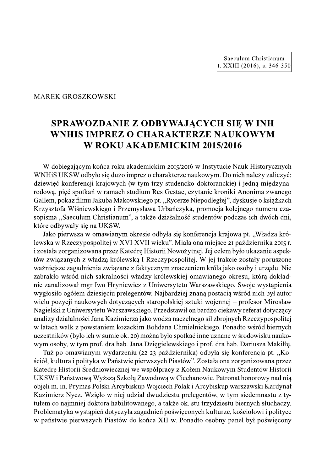Saeculum Christianum t. XXIII (2016), s. 346-350

**MAREK GROSZKOWSKI** 

# SPRAWOZDANIE Z ODBYWAJĄCYCH SIĘ W INH WNHIS IMPREZ O CHARAKTERZE NAUKOWYM W ROKU AKADEMICKIM 2015/2016

W dobiegającym końca roku akademickim 2015/2016 w Instytucie Nauk Historycznych WNHiS UKSW odbyło się dużo imprez o charakterze naukowym. Do nich należy zaliczyć: dziewieć konferencji krajowych (w tym trzy studencko-doktoranckie) i jedną międzynarodową, pięć spotkań w ramach studium Res Gestae, czytanie kroniki Anonima zwanego Gallem, pokaz filmu Jakuba Makowskiego pt. "Rycerze Niepodległej", dyskusje o książkach Krzysztofa Wiśniewskiego i Przemysława Urbańczyka, promocja kolejnego numeru czasopisma "Saeculum Christianum", a także działalność studentów podczas ich dwóch dni, które odbywały się na UKSW.

Jako pierwsza w omawianym okresie odbyła się konferencja krajowa pt. "Władza królewska w Rzeczypospolitej w XVI-XVII wieku". Miała ona miejsce 21 października 2015 r. i została zorganizowana przez Katedrę Historii Nowożytnej. Jej celem było ukazanie aspektów związanych z władzą królewską I Rzeczypospolitej. W jej trakcie zostały poruszone ważniejsze zagadnienia związane z faktycznym znaczeniem króla jako osoby i urzędu. Nie zabrakło wśród nich sakralności władzy królewskiej omawianego okresu, którą dokładnie zanalizował mgr Iwo Hryniewicz z Uniwersytetu Warszawskiego. Swoje wystąpienia wygłosiło ogółem dziesięciu prelegentów. Najbardziej znaną postacią wśród nich był autor wielu pozycji naukowych dotyczących staropolskiej sztuki wojennej – profesor Mirosław Nagielski z Uniwersytetu Warszawskiego. Przedstawił on bardzo ciękawy referat dotyczący analizy działalności Jana Kazimierza jako wodza naczelnego sił zbrojnych Rzeczypospolitej w latach walk z powstaniem kozackim Bohdana Chmielnickiego. Ponadto wśród biernych uczestników (było ich w sumie ok. 20) można było spotkać inne uznane w środowisku naukowym osoby, w tym prof. dra hab. Jana Dzięgielewskiego i prof. dra hab. Dariusza Makiłłę.

Tuż po omawianym wydarzeniu (22-23 października) odbyła się konferencja pt. "Kościół, kultura i polityka w Państwie pierwszych Piastów". Została ona zorganizowana przez Katedrę Historii Średniowiecznej we współpracy z Kołem Naukowym Studentów Historii UKSW i Państwową Wyższą Szkołą Zawodową w Ciechanowie. Patronat honorowy nad nią objęli m. in. Prymas Polski Arcybiskup Wojciech Polak i Arcybiskup warszawski Kardynał Kazimierz Nycz. Wzięło w niej udział dwudziestu prelegentów, w tym siedemnastu z tytułem co najmniej doktora habilitowanego, a także ok. stu trzydziestu biernych słuchaczy. Problematyka wystąpień dotyczyła zagadnień poświęconych kulturze, kościołowi i polityce w państwie pierwszych Piastów do końca XII w. Ponadto osobny panel był poświecony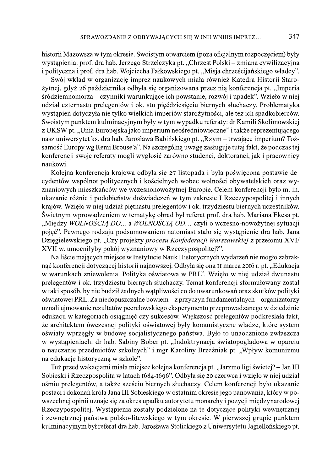historii Mazowsza w tym okresie. Swoistym otwarciem (poza oficjalnym rozpoczęciem) były wystąpienia: prof. dra hab. Jerzego Strzelczyka pt. "Chrzest Polski – zmiana cywilizacyjna i polityczna i prof. dra hab. Wojciecha Fałkowskiego pt. "Misja chrześcijańskiego władcy".

Swój wkład w organizację imprez naukowych miała również Katedra Historii Starożytnej, gdyż 26 października odbyła się organizowana przez nią konferencja pt. "Imperia śródziemnomorza – czynniki warunkujące ich powstanie, rozwój i upadek". Wzięło w niej udział czternastu prelegentów i ok. stu pięćdziesięciu biernych słuchaczy. Problematyka wystąpień dotyczyła nie tylko wielkich imperiów starożytności, ale tez ich spadkobierców. Swoistym punktem kulminacyjnym były w tym wypadku referaty: dr Kamili Skolimowskiej z UKSW pt. "Unia Europejska jako imperium neośredniowieczne" i także reprezentującego nasz uniwersytet ks. dra hab. Jarosława Babińskiego pt. "Rzym – trwające imperium? Tożsamość Europy wg Remi Brouse'a". Na szczególną uwagę zasługuje tutaj fakt, że podczas tej konferencji swoje referaty mogli wygłosić zarówno studenci, doktoranci, jak i pracownicy naukowi.

Kolejna konferencja krajowa odbyła się 27 listopada i była poświęcona postawie decydentów wspólnot politycznych i kościelnych wobec wolności obywatelskich oraz wyznaniowych mieszkańców we wczesnonowożytnej Europie. Celem konferencji było m. in. ukazanie różnic i podobieństw doświadczeń w tym zakresie I Rzeczypospolitej i innych krajów. Wzięło w niej udział piętnastu prelegentów i ok. trzydziestu biernych uczestników. Świetnym wprowadzeniem w tematykę obrad był referat prof. dra hab. Mariana Ekesa pt. "Między WOLNOŚCIĄ DO... a WOLNOŚCIĄ OD... czyli o wczesno-nowożytnej sytuacji pojęć". Pewnego rodzaju podsumowaniem natomiast stało się wystąpienie dra hab. Jana Dzięgielewskiego pt. "Czy projekty procesu Konfederacji Warszawskiej z przełomu XVI/ XVII w. umocniłyby pokój wyznaniowy w Rzeczypospolitej?".

Na liście mających miejsce w Instytucie Nauk Historycznych wydarzeń nie mogło zabraknąć konferencji dotyczącej historii najnowszej. Odbyła się ona II marca 2016 r. pt. "Edukacja w warunkach zniewolenia. Polityka oświatowa w PRL". Wzięło w niej udział dwunastu prelegentów i ok. trzydziestu biernych słuchaczy. Temat konferencji sformułowany został w taki sposób, by nie budził żadnych wątpliwości co do uwarunkowań oraz skutków polityki oświatowej PRL. Za niedopuszczalne bowiem – z przyczyn fundamentalnych – organizatorzy uznali ujmowanie rezultatów peerelowskiego eksperymentu przeprowadzanego w dziedzinie edukacji w kategoriach osiągnięć czy sukcesów. Większość prelegentów podkreślała fakt, że architektem ówczesnej polityki oświatowej były komunistyczne władze, które system oświaty wprzęgły w budowę socjalistycznego państwa. Było to unaocznione zwłaszcza w wystąpieniach: dr hab. Sabiny Bober pt. "Indoktrynacja światopoglądowa w oparciu o nauczanie przedmiotów szkolnych" i mgr Karoliny Brzeźniak pt. "Wpływ komunizmu na edukację historyczną w szkole".

Tuż przed wakacjami miała miejsce kolejna konferencja pt. "Jarzmo ligi świetej? – Jan III Sobieski i Rzeczpospolita w latach 1684-1696". Odbyła się 20 czerwca i wzięło w niej udział ośmiu prelegentów, a także sześciu biernych słuchaczy. Celem konferencji było ukazanie postaci i dokonań króla Jana III Sobieskiego w ostatnim okresie jego panowania, który w powszechnej opinii uznaje się za okres upadku autorytetu monarchy i pozycji międzynarodowej Rzeczypospolitej. Wystąpienia zostały podzielone na te dotyczące polityki wewnętrznej i zewnętrznej państwa polsko-litewskiego w tym okresie. W pierwszej grupie punktem kulminacyjnym był referat dra hab. Jarosława Stolickiego z Uniwersytetu Jagiellońskiego pt.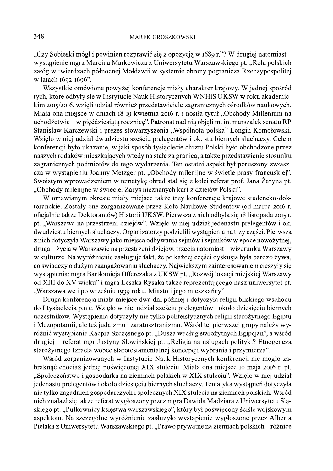"Czy Sobieski mógł i powinien rozprawić się z opozycją w 1689 r."? W drugiej natomiast – wystąpienie mgra Marcina Markowicza z Uniwersytetu Warszawskiego pt. "Rola polskich załóg w twierdzach północnej Mołdawii w systemie obrony pogranicza Rzeczypospolitej w latach 1692-1696".

Wszystkie omówione powyżej konferencje miały charakter krajowy. W jednej spośród tych, które odbyły się w Instytucie Nauk Historycznych WNHiS UKSW w roku akademickim 2015/2016, wzięli udział również przedstawiciele zagranicznych ośrodków naukowych. Miała ona miejsce w dniach 18-19 kwietnia 2016 r. i nosiła tytuł "Obchody Millenium na uchodźctwie – w pięćdziesiątą rocznicę". Patronat nad nią objęli m. in. marszałek senatu RP Stanisław Karczewski i prezes stowarzyszenia "Wspólnota polska" Longin Komołowski. Wzięło w niej udział dwudziestu sześciu prelegentów i ok. stu biernych słuchaczy. Celem konferencji było ukazanie, w jaki sposób tysiąclecie chrztu Polski było obchodzone przez naszych rodaków mieszkających wtedy na stałe za granicą, a także przedstawienie stosunku zagranicznych podmiotów do tego wydarzenia. Ten ostatni aspekt był poruszony zwłaszcza w wystąpieniu Joanny Metzger pt. "Obchody milenijne w świetle prasy francuskiej". Swoistym wprowadzeniem w tematykę obrad stał się z kolei referat prof. Jana Żaryna pt. "Obchody milenijne w świecie. Zarys nieznanych kart z dziejów Polski".

W omawianym okresie miały miejsce także trzy konferencje krajowe studencko-doktoranckie. Zostały one zorganizowane przez Koło Naukowe Studentów (od marca 2016 r. oficjalnie także Doktorantów) Historii UKSW. Pierwsza z nich odbyła się 18 listopada 2015 r. pt. "Warszawa na przestrzeni dziejów". Wzięło w niej udział jedenastu prelegentów i ok. dwudziestu biernych słuchaczy. Organizatorzy podzielili wystąpienia na trzy części. Pierwsza z nich dotyczyła Warszawy jako miejsca odbywania sejmów i sejmików w epoce nowożytnej, druga – życia w Warszawie na przestrzeni dziejów, trzecia natomiast – wizerunku Warszawy w kulturze. Na wyróżnienie zasługuje fakt, że po każdej części dyskusja była bardzo żywa, co świadczy o dużym zaangażowaniu słuchaczy. Największym zainteresowaniem cieszyły się wystąpienia: mgra Bartłomieja Offerczaka z UKSW pt. "Rozwój lokacji miejskiej Warszawy od XIII do XV wieku" i mgra Leszka Rysaka także reprezentującego nasz uniwersytet pt. "Warszawa we i po wrześniu 1939 roku. Miasto i jego mieszkańcy".

Druga konferencja miała miejsce dwa dni później i dotyczyła religii bliskiego wschodu do I tysiąclecia p.n.e. Wzięło w niej udział sześciu prelegentów i około dziesięciu biernych uczestników. Wystąpienia dotyczyły nie tylko politeistycznych religii starożytnego Egiptu i Mezopotamii, ale też judaizmu i zaratusztranizmu. Wśród tej pierwszej grupy należy wyróżnić wystąpienie Kacpra Szczęsnego pt. "Dusza według starożytnych Egipcjan", a wśród drugiej – referat mgr Justyny Slowińskiej pt. "Religia na usługach polityki? Etnogeneza starożytnego Izraela wobec starotestamentalnej koncepcji wybrania i przymierza".

Wśród zorganizowanych w Instytucie Nauk Historycznych konferencji nie mogło zabraknąć chociaż jednej poświęconej XIX stuleciu. Miała ona miejsce 10 maja 2016 r. pt. "Społeczeństwo i gospodarka na ziemiach polskich w XIX stuleciu". Wzięło w niej udział jedenastu prelegentów i około dziesięciu biernych słuchaczy. Tematyka wystąpień dotyczyła nie tylko zagadnień gospodarczych i społecznych XIX stulecia na ziemiach polskich. Wśród nich znalazł się także referat wygłoszony przez mgra Dawida Madziara z Uniwersytetu Śląskiego pt. "Pułkownicy księstwa warszawskiego", który był poświęcony ściśle wojskowym aspektom. Na szczególne wyróżnienie zasłużyło wystąpienie wygłoszone przez Alberta Pielaka z Uniwersytetu Warszawskiego pt. "Prawo prywatne na ziemiach polskich – różnice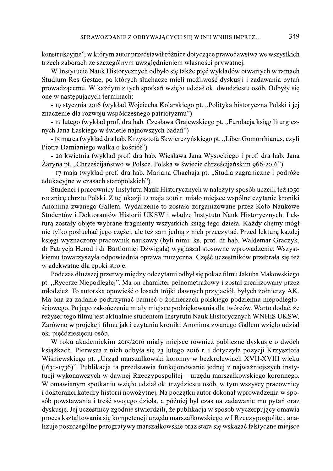konstrukcyjne", w którym autor przedstawił różnice dotyczące prawodawstwa we wszystkich trzech zaborach ze szczególnym uwzględnieniem własności prywatnej.

W Instytucie Nauk Historycznych odbyło się także pięć wykładów otwartych w ramach Studium Res Gestae, po których słuchacze mieli możliwość dyskusji i zadawania pytań prowadzącemu. W każdym z tych spotkań wzięło udział ok. dwudziestu osób. Odbyły się one w następujących terminach:

- 19 stycznia 2016 (wykład Wojciecha Kolarskiego pt. "Polityka historyczna Polski i jej znaczenie dla rozwoju współczesnego patriotyzmu")

- 17 lutego (wykład prof. dra hab. Czesława Grajewskiego pt. "Fundacja ksiąg liturgicznych Jana Łaskiego w świetle najnowszych badań")

- 15 marca (wykład dra hab. Krzysztofa Skwierczyńskiego pt. "Liber Gomorrhianus, czyli Piotra Damianiego walka o kościół")

- 20 kwietnia (wykład prof. dra hab. Wiesława Jana Wysockiego i prof. dra hab. Jana Żaryna pt. "Chrześcijaństwo w Polsce. Polska w świecie chrześcijańskim 966-2016")

- 17 maja (wykład prof. dra hab. Mariana Chachaja pt. "Studia zagraniczne i podróże edukacyjne w czasach staropolskich").

Studenci i pracownicy Instytutu Nauk Historycznych w należyty sposób uczcili też 1050 rocznicę chrztu Polski. Z tej okazji 12 maja 2016 r. miało miejsce wspólne czytanie kroniki Anonima zwanego Gallem. Wydarzenie to zostało zorganizowane przez Koło Naukowe Studentów i Doktorantów Historii UKSW i władze Instytutu Nauk Historycznych. Lekturą zostały objęte wybrane fragmenty wszystkich ksiąg tego dzieła. Każdy chętny mógł nie tylko posłuchać jego części, ale też sam jedną z nich przeczytać. Przed lekturą każdej księgi wyznaczony pracownik naukowy (byli nimi: ks. prof. dr hab. Waldemar Graczyk, dr Patrycja Herod i dr Bartłomiej Dźwigała) wygłaszał stosowne wprowadzenie. Wszystkiemu towarzyszyła odpowiednia oprawa muzyczna. Część uczestników przebrała się też w adekwatne dla epoki stroje.

Podczas dłuższej przerwy między odczytami odbył się pokaz filmu Jakuba Makowskiego pt. "Rycerze Niepodległej". Ma on charakter pełnometrażowy i został zrealizowany przez młodzież. To autorska opowieść o losach trójki dawnych przyjaciół, byłych żołnierzy AK. Ma ona za zadanie podtrzymać pamięć o żołnierzach polskiego podziemia niepodległościowego. Po jego zakończeniu miały miejsce podziękowania dla twórców. Warto dodać, że reżyser tego filmu jest aktualnie studentem Instytutu Nauk Historycznych WNHiS UKSW. Zarówno w projekcji filmu jak i czytaniu kroniki Anonima zwanego Gallem wzięło udział ok. pięćdziesięciu osób.

W roku akademickim 2015/2016 miały miejsce również publiczne dyskusje o dwóch książkach. Pierwsza z nich odbyła się 23 lutego 2016 r. i dotyczyła pozycji Krzysztofa Wiśniewskiego pt. "Urząd marszałkowski koronny w bezkrólewiach XVII-XVIII wieku (1632-1736)". Publikacja ta przedstawia funkcjonowanie jednej z najważniejszych instytucji wykonawczych w dawnej Rzeczypospolitej – urzędu marszałkowskiego koronnego. W omawianym spotkaniu wzięło udział ok. trzydziestu osób, w tym wszyscy pracownicy i doktoranci katedry historii nowożytnej. Na początku autor dokonał wprowadzenia w sposób powstawania i treść swojego dzieła, a później był czas na zadawanie mu pytań oraz dyskusję. Jej uczestnicy zgodnie stwierdzili, że publikacja w sposób wyczerpujący omawia proces kształtowania się kompetencji urzędu marszałkowskiego w I Rzeczypospolitej, analizuje poszczególne perogratywy marszałkowskie oraz stara się wskazać faktyczne miejsce